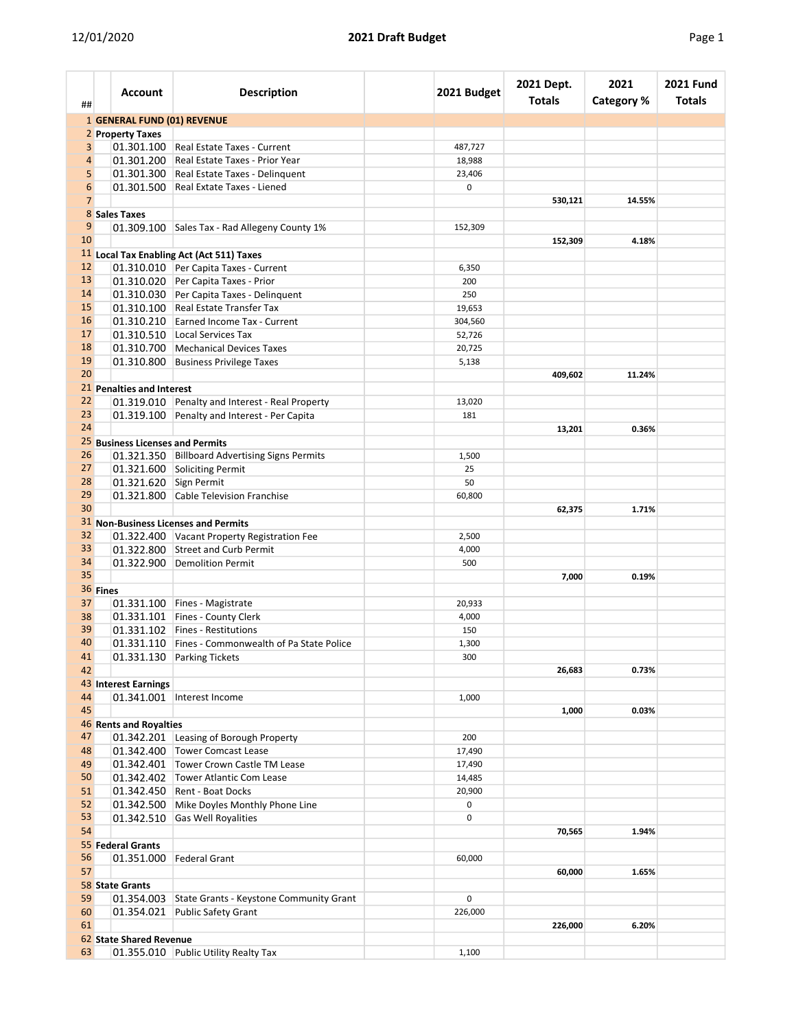| ##             |          | <b>Account</b>                   | <b>Description</b>                                 | 2021 Budget | 2021 Dept.<br><b>Totals</b> | 2021<br><b>Category %</b> | <b>2021 Fund</b><br><b>Totals</b> |
|----------------|----------|----------------------------------|----------------------------------------------------|-------------|-----------------------------|---------------------------|-----------------------------------|
|                |          | 1 GENERAL FUND (01) REVENUE      |                                                    |             |                             |                           |                                   |
|                |          | 2 Property Taxes                 |                                                    |             |                             |                           |                                   |
| 3              |          |                                  | 01.301.100 Real Estate Taxes - Current             | 487,727     |                             |                           |                                   |
| 4              |          |                                  | 01.301.200 Real Estate Taxes - Prior Year          | 18,988      |                             |                           |                                   |
| 5              |          |                                  | 01.301.300 Real Estate Taxes - Delinquent          | 23,406      |                             |                           |                                   |
| 6              |          |                                  | 01.301.500 Real Extate Taxes - Liened              | 0           |                             |                           |                                   |
| $\overline{7}$ |          |                                  |                                                    |             | 530,121                     | 14.55%                    |                                   |
|                |          | 8 Sales Taxes                    |                                                    |             |                             |                           |                                   |
| 9              |          |                                  | 01.309.100 Sales Tax - Rad Allegeny County 1%      | 152,309     |                             |                           |                                   |
| 10             |          |                                  |                                                    |             | 152,309                     | 4.18%                     |                                   |
|                |          |                                  | 11 Local Tax Enabling Act (Act 511) Taxes          |             |                             |                           |                                   |
| 12             |          |                                  | 01.310.010 Per Capita Taxes - Current              | 6,350       |                             |                           |                                   |
| 13             |          |                                  | 01.310.020 Per Capita Taxes - Prior                | 200         |                             |                           |                                   |
| 14             |          |                                  | 01.310.030 Per Capita Taxes - Delinquent           | 250         |                             |                           |                                   |
| 15             |          |                                  | 01.310.100 Real Estate Transfer Tax                | 19,653      |                             |                           |                                   |
| 16             |          |                                  | 01.310.210 Earned Income Tax - Current             | 304,560     |                             |                           |                                   |
| 17             |          |                                  | 01.310.510 Local Services Tax                      | 52,726      |                             |                           |                                   |
| 18             |          |                                  | 01.310.700 Mechanical Devices Taxes                | 20,725      |                             |                           |                                   |
| 19             |          |                                  | 01.310.800 Business Privilege Taxes                | 5,138       |                             |                           |                                   |
| 20             |          |                                  |                                                    |             | 409,602                     | 11.24%                    |                                   |
|                |          | 21 Penalties and Interest        |                                                    |             |                             |                           |                                   |
| 22             |          |                                  |                                                    |             |                             |                           |                                   |
| 23             |          |                                  | 01.319.010 Penalty and Interest - Real Property    | 13,020      |                             |                           |                                   |
| 24             |          |                                  | 01.319.100 Penalty and Interest - Per Capita       | 181         |                             |                           |                                   |
|                |          |                                  |                                                    |             | 13,201                      | 0.36%                     |                                   |
|                |          | 25 Business Licenses and Permits |                                                    |             |                             |                           |                                   |
| 26             |          |                                  | 01.321.350 Billboard Advertising Signs Permits     | 1,500       |                             |                           |                                   |
| 27             |          |                                  | 01.321.600 Soliciting Permit                       | 25          |                             |                           |                                   |
| 28             |          | 01.321.620 Sign Permit           |                                                    | 50          |                             |                           |                                   |
| 29             |          |                                  | 01.321.800 Cable Television Franchise              | 60,800      |                             |                           |                                   |
| 30             |          |                                  |                                                    |             | 62,375                      | 1.71%                     |                                   |
|                |          |                                  | 31 Non-Business Licenses and Permits               |             |                             |                           |                                   |
| 32             |          |                                  | 01.322.400 Vacant Property Registration Fee        | 2,500       |                             |                           |                                   |
| 33             |          |                                  | 01.322.800 Street and Curb Permit                  | 4,000       |                             |                           |                                   |
| 34             |          |                                  | 01.322.900 Demolition Permit                       | 500         |                             |                           |                                   |
| 35             |          |                                  |                                                    |             | 7,000                       | 0.19%                     |                                   |
|                | 36 Fines |                                  |                                                    |             |                             |                           |                                   |
| 37             |          |                                  | 01.331.100 Fines - Magistrate                      | 20,933      |                             |                           |                                   |
| 38             |          |                                  | 01.331.101 Fines - County Clerk                    | 4,000       |                             |                           |                                   |
| 39             |          |                                  | 01.331.102 Fines - Restitutions                    | 150         |                             |                           |                                   |
| 40             |          |                                  | 01.331.110 Fines - Commonwealth of Pa State Police | 1,300       |                             |                           |                                   |
| 41             |          |                                  | 01.331.130 Parking Tickets                         | 300         |                             |                           |                                   |
| 42             |          |                                  |                                                    |             | 26,683                      | 0.73%                     |                                   |
|                |          | 43 Interest Earnings             |                                                    |             |                             |                           |                                   |
| 44             |          |                                  | 01.341.001   Interest Income                       | 1,000       |                             |                           |                                   |
| 45             |          |                                  |                                                    |             | 1,000                       | 0.03%                     |                                   |
|                |          | 46 Rents and Royalties           |                                                    |             |                             |                           |                                   |
| 47             |          |                                  | 01.342.201 Leasing of Borough Property             | 200         |                             |                           |                                   |
| 48             |          |                                  | 01.342.400 Tower Comcast Lease                     | 17,490      |                             |                           |                                   |
| 49             |          |                                  | 01.342.401 Tower Crown Castle TM Lease             | 17,490      |                             |                           |                                   |
| 50             |          |                                  | 01.342.402 Tower Atlantic Com Lease                | 14,485      |                             |                           |                                   |
| 51             |          |                                  | 01.342.450 Rent - Boat Docks                       | 20,900      |                             |                           |                                   |
| 52             |          |                                  | 01.342.500 Mike Doyles Monthly Phone Line          | 0           |                             |                           |                                   |
| 53             |          | 01.342.510                       | <b>Gas Well Royalities</b>                         | 0           |                             |                           |                                   |
| 54             |          |                                  |                                                    |             | 70,565                      | 1.94%                     |                                   |
|                |          | 55 Federal Grants                |                                                    |             |                             |                           |                                   |
| 56             |          |                                  | 01.351.000   Federal Grant                         | 60,000      |                             |                           |                                   |
|                |          |                                  |                                                    |             |                             |                           |                                   |
| 57             |          |                                  |                                                    |             | 60,000                      | 1.65%                     |                                   |
|                |          | 58 State Grants                  |                                                    |             |                             |                           |                                   |
| 59             |          |                                  | 01.354.003 State Grants - Keystone Community Grant | 0           |                             |                           |                                   |
| 60             |          |                                  | 01.354.021 Public Safety Grant                     | 226,000     |                             |                           |                                   |
| 61             |          |                                  |                                                    |             | 226,000                     | 6.20%                     |                                   |
|                |          | 62 State Shared Revenue          |                                                    |             |                             |                           |                                   |
| 63             |          |                                  | 01.355.010 Public Utility Realty Tax               | 1,100       |                             |                           |                                   |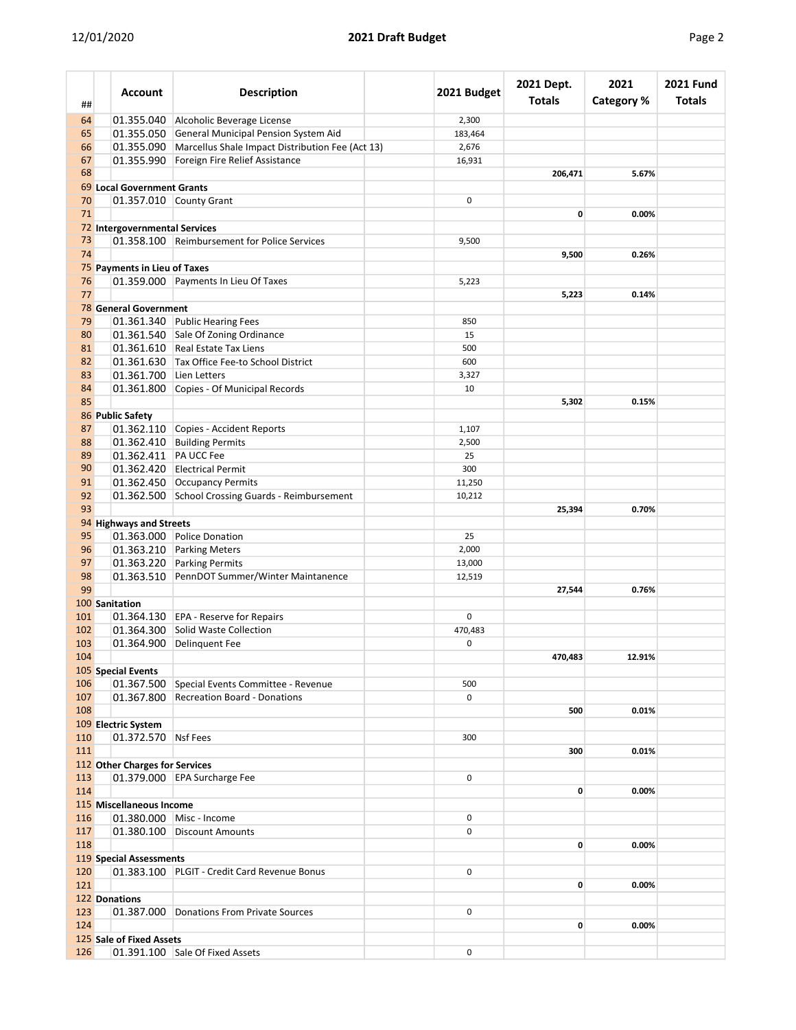| ##         | <b>Account</b>                 | <b>Description</b>                                                  | 2021 Budget    | 2021 Dept.<br><b>Totals</b> | 2021<br><b>Category %</b> | <b>2021 Fund</b><br>Totals |
|------------|--------------------------------|---------------------------------------------------------------------|----------------|-----------------------------|---------------------------|----------------------------|
| 64         |                                | 01.355.040 Alcoholic Beverage License                               | 2,300          |                             |                           |                            |
| 65         |                                | 01.355.050 General Municipal Pension System Aid                     | 183,464        |                             |                           |                            |
| 66         |                                | 01.355.090 Marcellus Shale Impact Distribution Fee (Act 13)         | 2,676          |                             |                           |                            |
| 67         |                                | 01.355.990 Foreign Fire Relief Assistance                           | 16,931         |                             |                           |                            |
| 68         |                                |                                                                     |                | 206,471                     | 5.67%                     |                            |
|            | 69 Local Government Grants     |                                                                     |                |                             |                           |                            |
| 70         |                                | 01.357.010 County Grant                                             | 0              |                             |                           |                            |
| 71         |                                |                                                                     |                | $\mathbf{0}$                | 0.00%                     |                            |
| 73         | 72 Intergovernmental Services  | 01.358.100 Reimbursement for Police Services                        | 9,500          |                             |                           |                            |
| 74         |                                |                                                                     |                | 9,500                       | 0.26%                     |                            |
|            | 75 Payments in Lieu of Taxes   |                                                                     |                |                             |                           |                            |
| 76         |                                | 01.359.000 Payments In Lieu Of Taxes                                | 5,223          |                             |                           |                            |
| 77         |                                |                                                                     |                | 5,223                       | 0.14%                     |                            |
|            | 78 General Government          |                                                                     |                |                             |                           |                            |
| 79         |                                | 01.361.340 Public Hearing Fees                                      | 850            |                             |                           |                            |
| 80         |                                | 01.361.540 Sale Of Zoning Ordinance                                 | 15             |                             |                           |                            |
| 81         |                                | 01.361.610 Real Estate Tax Liens                                    | 500            |                             |                           |                            |
| 82         |                                | 01.361.630 Tax Office Fee-to School District                        | 600            |                             |                           |                            |
| 83         | 01.361.700 Lien Letters        |                                                                     | 3,327          |                             |                           |                            |
| 84         |                                | 01.361.800 Copies - Of Municipal Records                            | 10             |                             |                           |                            |
| 85         |                                |                                                                     |                | 5,302                       | 0.15%                     |                            |
|            | 86 Public Safety               |                                                                     |                |                             |                           |                            |
| 87<br>88   |                                | 01.362.110 Copies - Accident Reports<br>01.362.410 Building Permits | 1,107<br>2,500 |                             |                           |                            |
| 89         | 01.362.411   PA UCC Fee        |                                                                     | 25             |                             |                           |                            |
| 90         |                                | 01.362.420 Electrical Permit                                        | 300            |                             |                           |                            |
| 91         |                                | 01.362.450 Occupancy Permits                                        | 11,250         |                             |                           |                            |
| 92         |                                | 01.362.500 School Crossing Guards - Reimbursement                   | 10,212         |                             |                           |                            |
| 93         |                                |                                                                     |                | 25,394                      | 0.70%                     |                            |
|            | 94 Highways and Streets        |                                                                     |                |                             |                           |                            |
| 95         |                                | 01.363.000 Police Donation                                          | 25             |                             |                           |                            |
| 96         |                                | 01.363.210 Parking Meters                                           | 2,000          |                             |                           |                            |
| 97         |                                | 01.363.220 Parking Permits                                          | 13,000         |                             |                           |                            |
| 98         |                                | 01.363.510 PennDOT Summer/Winter Maintanence                        | 12,519         |                             |                           |                            |
| 99         |                                |                                                                     |                | 27,544                      | 0.76%                     |                            |
|            | 100 Sanitation                 |                                                                     |                |                             |                           |                            |
| 101<br>102 |                                | 01.364.130 EPA - Reserve for Repairs                                | 0              |                             |                           |                            |
| 103        |                                | 01.364.300 Solid Waste Collection<br>01.364.900 Delinquent Fee      | 470,483<br>0   |                             |                           |                            |
| 104        |                                |                                                                     |                | 470,483                     | 12.91%                    |                            |
|            | 105 Special Events             |                                                                     |                |                             |                           |                            |
| 106        |                                | 01.367.500 Special Events Committee - Revenue                       | 500            |                             |                           |                            |
| 107        |                                | 01.367.800 Recreation Board - Donations                             | $\mathbf 0$    |                             |                           |                            |
| 108        |                                |                                                                     |                | 500                         | 0.01%                     |                            |
|            | 109 Electric System            |                                                                     |                |                             |                           |                            |
| 110        | 01.372.570 Nsf Fees            |                                                                     | 300            |                             |                           |                            |
| 111        |                                |                                                                     |                | 300                         | 0.01%                     |                            |
|            | 112 Other Charges for Services |                                                                     |                |                             |                           |                            |
| 113        |                                | 01.379.000 EPA Surcharge Fee                                        | 0              |                             |                           |                            |
| 114        |                                |                                                                     |                | 0                           | 0.00%                     |                            |
| 116        | 115 Miscellaneous Income       | 01.380.000 Misc - Income                                            | 0              |                             |                           |                            |
| 117        |                                | 01.380.100 Discount Amounts                                         | 0              |                             |                           |                            |
| 118        |                                |                                                                     |                | 0                           | 0.00%                     |                            |
|            | 119 Special Assessments        |                                                                     |                |                             |                           |                            |
| 120        |                                | 01.383.100 PLGIT - Credit Card Revenue Bonus                        | 0              |                             |                           |                            |
| 121        |                                |                                                                     |                | 0                           | 0.00%                     |                            |
|            | 122 Donations                  |                                                                     |                |                             |                           |                            |
| 123        | 01.387.000                     | Donations From Private Sources                                      | 0              |                             |                           |                            |
| 124        |                                |                                                                     |                | 0                           | 0.00%                     |                            |
|            | 125 Sale of Fixed Assets       |                                                                     |                |                             |                           |                            |
| 126        |                                | 01.391.100 Sale Of Fixed Assets                                     | 0              |                             |                           |                            |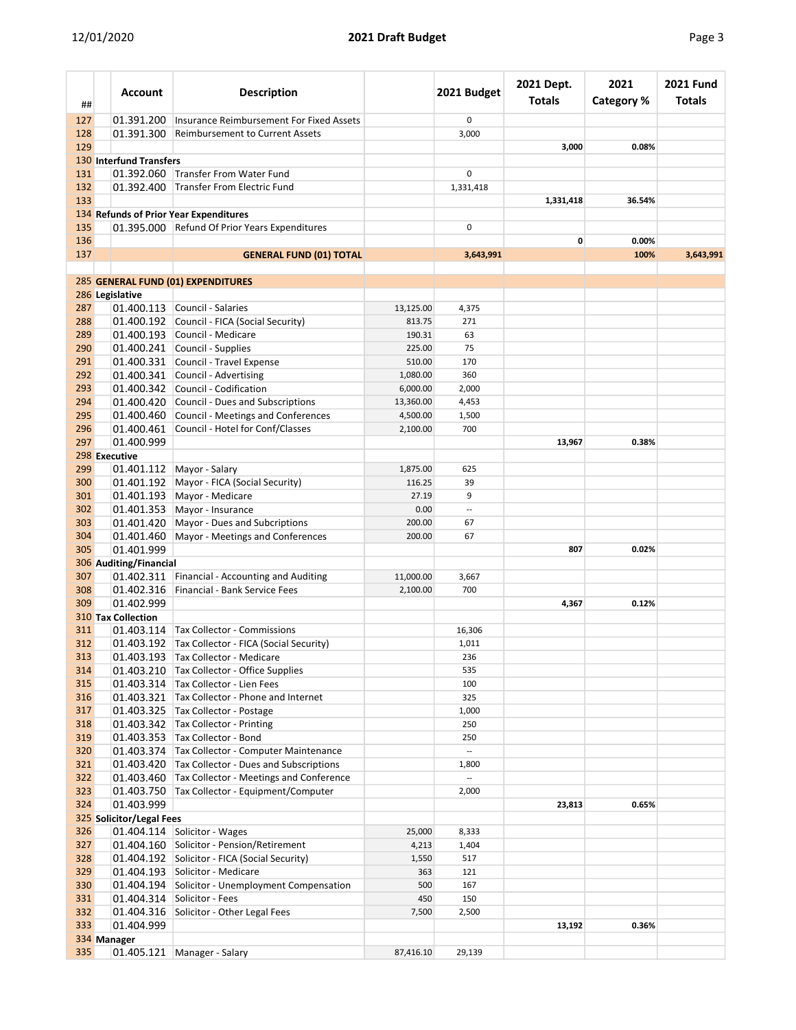| ##         | Account                   | <b>Description</b>                                                                   |           | 2021 Budget              | 2021 Dept.<br><b>Totals</b> | 2021<br><b>Category %</b> | <b>2021 Fund</b><br><b>Totals</b> |
|------------|---------------------------|--------------------------------------------------------------------------------------|-----------|--------------------------|-----------------------------|---------------------------|-----------------------------------|
| 127        | 01.391.200                | Insurance Reimbursement For Fixed Assets                                             |           | 0                        |                             |                           |                                   |
| 128        | 01.391.300                | <b>Reimbursement to Current Assets</b>                                               |           | 3,000                    |                             |                           |                                   |
| 129        |                           |                                                                                      |           |                          | 3,000                       | 0.08%                     |                                   |
|            | 130 Interfund Transfers   |                                                                                      |           |                          |                             |                           |                                   |
| 131        |                           | 01.392.060 Transfer From Water Fund                                                  |           | 0                        |                             |                           |                                   |
| 132        | 01.392.400                | Transfer From Electric Fund                                                          |           | 1,331,418                |                             |                           |                                   |
| 133        |                           |                                                                                      |           |                          | 1,331,418                   | 36.54%                    |                                   |
|            |                           | 134 Refunds of Prior Year Expenditures                                               |           |                          |                             |                           |                                   |
| 135        |                           | 01.395.000 Refund Of Prior Years Expenditures                                        |           | 0                        |                             |                           |                                   |
| 136        |                           |                                                                                      |           |                          | 0                           | 0.00%                     |                                   |
| 137        |                           | <b>GENERAL FUND (01) TOTAL</b>                                                       |           | 3,643,991                |                             | 100%                      | 3,643,991                         |
|            |                           |                                                                                      |           |                          |                             |                           |                                   |
|            | 286 Legislative           | 285 GENERAL FUND (01) EXPENDITURES                                                   |           |                          |                             |                           |                                   |
| 287        |                           | 01.400.113 Council - Salaries                                                        | 13,125.00 | 4,375                    |                             |                           |                                   |
| 288        |                           | 01.400.192 Council - FICA (Social Security)                                          | 813.75    | 271                      |                             |                           |                                   |
| 289        |                           | 01.400.193 Council - Medicare                                                        | 190.31    | 63                       |                             |                           |                                   |
| 290        |                           | 01.400.241 Council - Supplies                                                        | 225.00    | 75                       |                             |                           |                                   |
| 291        |                           | 01.400.331 Council - Travel Expense                                                  | 510.00    | 170                      |                             |                           |                                   |
| 292        |                           | 01.400.341 Council - Advertising                                                     | 1,080.00  | 360                      |                             |                           |                                   |
| 293        |                           | 01.400.342 Council - Codification                                                    | 6,000.00  | 2,000                    |                             |                           |                                   |
| 294        |                           | 01.400.420 Council - Dues and Subscriptions                                          | 13,360.00 | 4,453                    |                             |                           |                                   |
| 295        | 01.400.460                | Council - Meetings and Conferences                                                   | 4,500.00  | 1,500                    |                             |                           |                                   |
| 296        | 01.400.461                | Council - Hotel for Conf/Classes                                                     | 2,100.00  | 700                      |                             |                           |                                   |
| 297        | 01.400.999                |                                                                                      |           |                          | 13,967                      | 0.38%                     |                                   |
|            | 298 Executive             |                                                                                      |           |                          |                             |                           |                                   |
| 299        |                           | 01.401.112 Mayor - Salary                                                            | 1,875.00  | 625                      |                             |                           |                                   |
| 300        | 01.401.192                | Mayor - FICA (Social Security)                                                       | 116.25    | 39                       |                             |                           |                                   |
| 301        |                           | 01.401.193   Mayor - Medicare                                                        | 27.19     | 9                        |                             |                           |                                   |
| 302        |                           | $01.401.353$ Mayor - Insurance                                                       | 0.00      | $\overline{a}$           |                             |                           |                                   |
| 303        | 01.401.420                | Mayor - Dues and Subcriptions                                                        | 200.00    | 67                       |                             |                           |                                   |
| 304        | 01.401.460                | Mayor - Meetings and Conferences                                                     | 200.00    | 67                       |                             |                           |                                   |
| 305        | 01.401.999                |                                                                                      |           |                          | 807                         | 0.02%                     |                                   |
|            | 306 Auditing/Financial    |                                                                                      |           |                          |                             |                           |                                   |
| 307        | 01.402.311                | Financial - Accounting and Auditing                                                  | 11,000.00 | 3,667                    |                             |                           |                                   |
| 308        | 01.402.316                | Financial - Bank Service Fees                                                        | 2,100.00  | 700                      |                             |                           |                                   |
| 309        | 01.402.999                |                                                                                      |           |                          | 4,367                       | 0.12%                     |                                   |
|            | <b>310 Tax Collection</b> |                                                                                      |           |                          |                             |                           |                                   |
| 311        |                           | 01.403.114   Tax Collector - Commissions                                             |           | 16,306                   |                             |                           |                                   |
| 312        |                           | 01.403.192 Tax Collector - FICA (Social Security)                                    |           | 1,011                    |                             |                           |                                   |
| 313<br>314 |                           | 01.403.193 Tax Collector - Medicare                                                  |           | 236<br>535               |                             |                           |                                   |
| 315        |                           | 01.403.210   Tax Collector - Office Supplies<br>01.403.314 Tax Collector - Lien Fees |           | 100                      |                             |                           |                                   |
| 316        |                           | 01.403.321 Tax Collector - Phone and Internet                                        |           | 325                      |                             |                           |                                   |
| 317        |                           | 01.403.325 Tax Collector - Postage                                                   |           | 1,000                    |                             |                           |                                   |
| 318        |                           | 01.403.342 Tax Collector - Printing                                                  |           | 250                      |                             |                           |                                   |
| 319        |                           | 01.403.353 Tax Collector - Bond                                                      |           | 250                      |                             |                           |                                   |
| 320        |                           | 01.403.374 Tax Collector - Computer Maintenance                                      |           | $\mathbb{Z}^2$           |                             |                           |                                   |
| 321        |                           | 01.403.420 Tax Collector - Dues and Subscriptions                                    |           | 1,800                    |                             |                           |                                   |
| 322        |                           | 01.403.460 Tax Collector - Meetings and Conference                                   |           | $\overline{\phantom{a}}$ |                             |                           |                                   |
| 323        |                           | 01.403.750 Tax Collector - Equipment/Computer                                        |           | 2,000                    |                             |                           |                                   |
| 324        | 01.403.999                |                                                                                      |           |                          | 23,813                      | 0.65%                     |                                   |
|            | 325 Solicitor/Legal Fees  |                                                                                      |           |                          |                             |                           |                                   |
| 326        |                           | 01.404.114   Solicitor - Wages                                                       | 25,000    | 8,333                    |                             |                           |                                   |
| 327        |                           | 01.404.160 Solicitor - Pension/Retirement                                            | 4,213     | 1,404                    |                             |                           |                                   |
| 328        |                           | 01.404.192 Solicitor - FICA (Social Security)                                        | 1,550     | 517                      |                             |                           |                                   |
| 329        |                           | 01.404.193 Solicitor - Medicare                                                      | 363       | 121                      |                             |                           |                                   |
| 330        |                           | 01.404.194 Solicitor - Unemployment Compensation                                     | 500       | 167                      |                             |                           |                                   |
| 331        | 01.404.314                | Solicitor - Fees                                                                     | 450       | 150                      |                             |                           |                                   |
| 332        | 01.404.316                | Solicitor - Other Legal Fees                                                         | 7,500     | 2,500                    |                             |                           |                                   |
| 333        | 01.404.999                |                                                                                      |           |                          | 13,192                      | 0.36%                     |                                   |
|            | 334 Manager               |                                                                                      |           |                          |                             |                           |                                   |
| 335        |                           | 01.405.121   Manager - Salary                                                        | 87,416.10 | 29,139                   |                             |                           |                                   |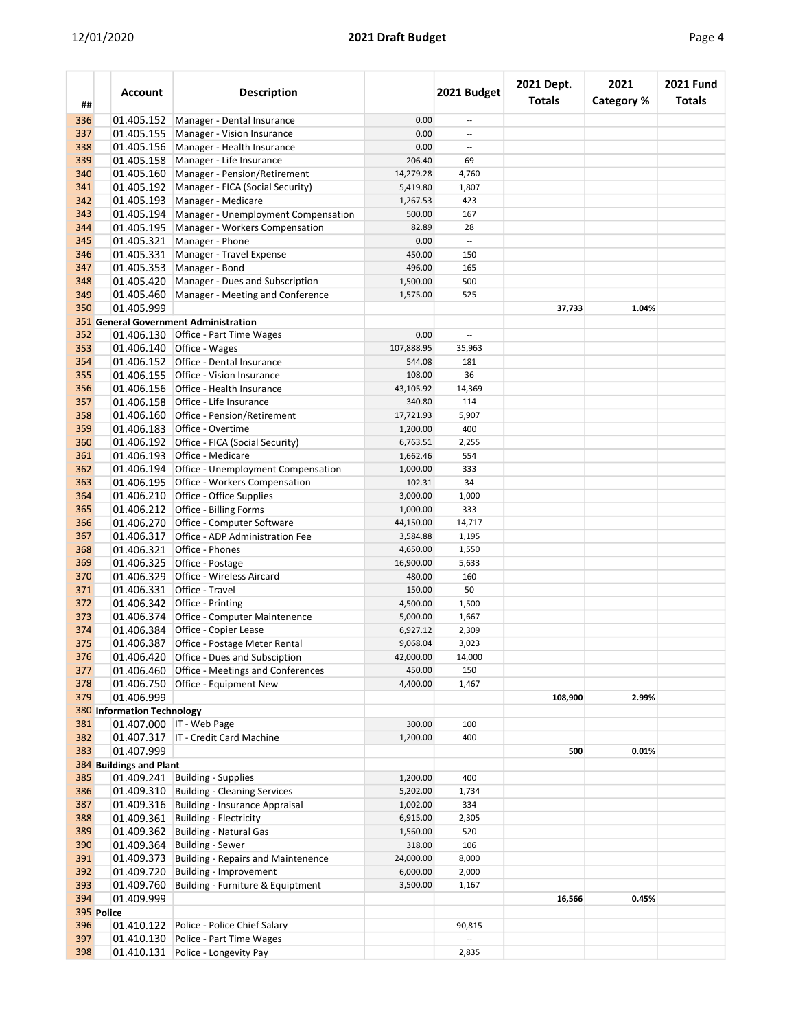|--|

| ##         |            | <b>Account</b>                    | <b>Description</b>                                                               |                      | 2021 Budget              | 2021 Dept.<br><b>Totals</b> | 2021<br><b>Category %</b> | <b>2021 Fund</b><br>Totals |
|------------|------------|-----------------------------------|----------------------------------------------------------------------------------|----------------------|--------------------------|-----------------------------|---------------------------|----------------------------|
| 336        |            | 01.405.152                        | Manager - Dental Insurance                                                       | 0.00                 | $\overline{\phantom{a}}$ |                             |                           |                            |
| 337        |            | 01.405.155                        | Manager - Vision Insurance                                                       | 0.00                 | $\overline{a}$           |                             |                           |                            |
| 338        |            | 01.405.156                        | Manager - Health Insurance                                                       | 0.00                 | $\overline{\phantom{a}}$ |                             |                           |                            |
| 339        |            | 01.405.158                        | Manager - Life Insurance                                                         | 206.40               | 69                       |                             |                           |                            |
| 340        |            | 01.405.160                        | Manager - Pension/Retirement                                                     | 14,279.28            | 4,760                    |                             |                           |                            |
| 341        |            | 01.405.192                        | Manager - FICA (Social Security)                                                 | 5,419.80             | 1,807                    |                             |                           |                            |
| 342        |            | 01.405.193                        | Manager - Medicare                                                               | 1,267.53             | 423                      |                             |                           |                            |
| 343        |            | 01.405.194                        | Manager - Unemployment Compensation                                              | 500.00               | 167                      |                             |                           |                            |
| 344        |            | 01.405.195                        | Manager - Workers Compensation                                                   | 82.89                | 28                       |                             |                           |                            |
| 345        |            | 01.405.321                        | Manager - Phone                                                                  | 0.00                 | $\overline{\phantom{a}}$ |                             |                           |                            |
| 346        |            | 01.405.331                        | Manager - Travel Expense                                                         | 450.00               | 150                      |                             |                           |                            |
| 347        |            | 01.405.353                        | Manager - Bond                                                                   | 496.00               | 165                      |                             |                           |                            |
| 348        |            | 01.405.420                        | Manager - Dues and Subscription                                                  | 1,500.00             | 500                      |                             |                           |                            |
| 349        |            | 01.405.460                        | Manager - Meeting and Conference                                                 | 1,575.00             | 525                      |                             |                           |                            |
| 350        |            | 01.405.999                        |                                                                                  |                      |                          | 37,733                      | 1.04%                     |                            |
|            |            |                                   | <b>351</b> General Government Administration                                     |                      |                          |                             |                           |                            |
| 352        |            |                                   | 01.406.130 Office - Part Time Wages                                              | 0.00                 | $\overline{\phantom{a}}$ |                             |                           |                            |
| 353        |            | 01.406.140                        | Office - Wages<br>01.406.152 Office - Dental Insurance                           | 107,888.95           | 35,963                   |                             |                           |                            |
| 354<br>355 |            |                                   | Office - Vision Insurance                                                        | 544.08               | 181<br>36                |                             |                           |                            |
| 356        |            | 01.406.155                        | 01.406.156 Office - Health Insurance                                             | 108.00<br>43,105.92  | 14,369                   |                             |                           |                            |
| 357        |            | 01.406.158                        | Office - Life Insurance                                                          | 340.80               | 114                      |                             |                           |                            |
| 358        |            |                                   | 01.406.160 Office - Pension/Retirement                                           | 17,721.93            | 5,907                    |                             |                           |                            |
| 359        |            | 01.406.183                        | Office - Overtime                                                                | 1,200.00             | 400                      |                             |                           |                            |
| 360        |            | 01.406.192                        | Office - FICA (Social Security)                                                  | 6,763.51             | 2,255                    |                             |                           |                            |
| 361        |            | 01.406.193                        | Office - Medicare                                                                | 1,662.46             | 554                      |                             |                           |                            |
| 362        |            | 01.406.194                        | Office - Unemployment Compensation                                               | 1,000.00             | 333                      |                             |                           |                            |
| 363        |            |                                   | 01.406.195 Office - Workers Compensation                                         | 102.31               | 34                       |                             |                           |                            |
| 364        |            | 01.406.210                        | <b>Office</b> - Office Supplies                                                  | 3,000.00             | 1,000                    |                             |                           |                            |
| 365        |            |                                   | 01.406.212 Office - Billing Forms                                                | 1,000.00             | 333                      |                             |                           |                            |
| 366        |            | 01.406.270                        | Office - Computer Software                                                       | 44,150.00            | 14,717                   |                             |                           |                            |
| 367        |            | 01.406.317                        | Office - ADP Administration Fee                                                  | 3,584.88             | 1,195                    |                             |                           |                            |
| 368        |            | 01.406.321                        | Office - Phones                                                                  | 4,650.00             | 1,550                    |                             |                           |                            |
| 369        |            | 01.406.325                        | Office - Postage                                                                 | 16,900.00            | 5,633                    |                             |                           |                            |
| 370        |            | 01.406.329                        | Office - Wireless Aircard                                                        | 480.00               | 160                      |                             |                           |                            |
| 371        |            | 01.406.331                        | Office - Travel                                                                  | 150.00               | 50                       |                             |                           |                            |
| 372        |            |                                   | 01.406.342 Office - Printing                                                     | 4,500.00             | 1,500                    |                             |                           |                            |
| 373        |            | 01.406.374                        | Office - Computer Maintenence                                                    | 5,000.00             | 1,667                    |                             |                           |                            |
| 374        |            |                                   | 01.406.384 Office - Copier Lease                                                 | 6,927.12             | 2,309                    |                             |                           |                            |
| 375        |            |                                   | 01.406.387 Office - Postage Meter Rental                                         | 9,068.04             | 3,023                    |                             |                           |                            |
| 376        |            |                                   | 01.406.420 Office - Dues and Subsciption                                         | 42,000.00            | 14,000                   |                             |                           |                            |
| 377        |            |                                   | 01.406.460 Office - Meetings and Conferences                                     | 450.00               | 150                      |                             |                           |                            |
| 378        |            | 01.406.750                        | <b>Office - Equipment New</b>                                                    | 4,400.00             | 1,467                    |                             |                           |                            |
| 379        |            | 01.406.999                        |                                                                                  |                      |                          | 108,900                     | 2.99%                     |                            |
|            |            | <b>380 Information Technology</b> |                                                                                  |                      |                          |                             |                           |                            |
| 381        |            |                                   | 01.407.000   IT - Web Page                                                       | 300.00               | 100                      |                             |                           |                            |
| 382        |            |                                   | 01.407.317   IT - Credit Card Machine                                            | 1,200.00             | 400                      |                             |                           |                            |
| 383        |            | 01.407.999                        |                                                                                  |                      |                          | 500                         | 0.01%                     |                            |
| 385        |            | 384 Buildings and Plant           | 01.409.241 Building - Supplies                                                   | 1,200.00             | 400                      |                             |                           |                            |
| 386        |            | 01.409.310                        |                                                                                  |                      |                          |                             |                           |                            |
| 387        |            |                                   | <b>Building - Cleaning Services</b><br>01.409.316 Building - Insurance Appraisal | 5,202.00<br>1,002.00 | 1,734<br>334             |                             |                           |                            |
| 388        |            |                                   | 01.409.361 Building - Electricity                                                | 6,915.00             | 2,305                    |                             |                           |                            |
| 389        |            | 01.409.362                        | <b>Building - Natural Gas</b>                                                    | 1,560.00             | 520                      |                             |                           |                            |
| 390        |            |                                   | 01.409.364 Building - Sewer                                                      | 318.00               | 106                      |                             |                           |                            |
| 391        |            | 01.409.373                        | <b>Building - Repairs and Maintenence</b>                                        | 24,000.00            | 8,000                    |                             |                           |                            |
| 392        |            | 01.409.720                        | Building - Improvement                                                           | 6,000.00             | 2,000                    |                             |                           |                            |
| 393        |            | 01.409.760                        | Building - Furniture & Equiptment                                                | 3,500.00             | 1,167                    |                             |                           |                            |
| 394        |            | 01.409.999                        |                                                                                  |                      |                          | 16,566                      | 0.45%                     |                            |
|            | 395 Police |                                   |                                                                                  |                      |                          |                             |                           |                            |
| 396        |            | 01.410.122                        | Police - Police Chief Salary                                                     |                      | 90,815                   |                             |                           |                            |
| 397        |            |                                   | 01.410.130 Police - Part Time Wages                                              |                      |                          |                             |                           |                            |
| 398        |            |                                   | 01.410.131 Police - Longevity Pay                                                |                      | 2,835                    |                             |                           |                            |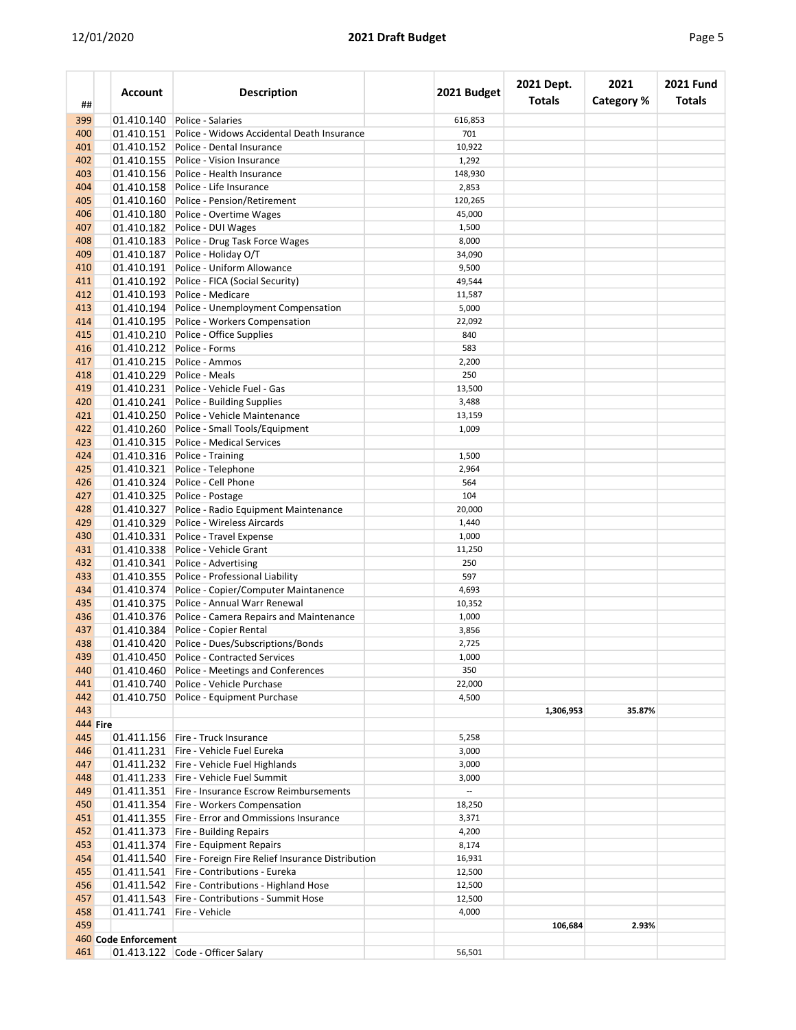| ##              | <b>Account</b>       | <b>Description</b>                                           | 2021 Budget              | 2021 Dept.<br><b>Totals</b> | 2021<br><b>Category %</b> | <b>2021 Fund</b><br><b>Totals</b> |
|-----------------|----------------------|--------------------------------------------------------------|--------------------------|-----------------------------|---------------------------|-----------------------------------|
| 399             | 01.410.140           | Police - Salaries                                            | 616,853                  |                             |                           |                                   |
| 400             | 01.410.151           | Police - Widows Accidental Death Insurance                   | 701                      |                             |                           |                                   |
| 401             | 01.410.152           | Police - Dental Insurance                                    | 10,922                   |                             |                           |                                   |
| 402             | 01.410.155           | Police - Vision Insurance                                    | 1,292                    |                             |                           |                                   |
| 403             | 01.410.156           | Police - Health Insurance                                    | 148,930                  |                             |                           |                                   |
| 404             |                      | 01.410.158 Police - Life Insurance                           | 2,853                    |                             |                           |                                   |
| 405             | 01.410.160           | Police - Pension/Retirement                                  | 120,265                  |                             |                           |                                   |
| 406             |                      | 01.410.180 Police - Overtime Wages                           | 45,000                   |                             |                           |                                   |
| 407             | 01.410.182           | Police - DUI Wages                                           | 1,500                    |                             |                           |                                   |
| 408             |                      | 01.410.183 Police - Drug Task Force Wages                    | 8,000                    |                             |                           |                                   |
| 409             | 01.410.187           | Police - Holiday O/T                                         | 34,090                   |                             |                           |                                   |
| 410             | 01.410.191           | Police - Uniform Allowance                                   | 9,500                    |                             |                           |                                   |
| 411             |                      | 01.410.192 Police - FICA (Social Security)                   | 49,544                   |                             |                           |                                   |
| 412             |                      | 01.410.193 Police - Medicare                                 | 11,587                   |                             |                           |                                   |
| 413             | 01.410.194           | Police - Unemployment Compensation                           | 5,000                    |                             |                           |                                   |
| 414             |                      | 01.410.195 Police - Workers Compensation                     | 22,092                   |                             |                           |                                   |
| 415             | 01.410.210           | Police - Office Supplies                                     | 840                      |                             |                           |                                   |
| 416             |                      | Police - Forms                                               |                          |                             |                           |                                   |
|                 | 01.410.212           |                                                              | 583                      |                             |                           |                                   |
| 417             | 01.410.215           | Police - Ammos                                               | 2,200                    |                             |                           |                                   |
| 418             |                      | 01.410.229 Police - Meals                                    | 250                      |                             |                           |                                   |
| 419             |                      | 01.410.231 Police - Vehicle Fuel - Gas                       | 13,500                   |                             |                           |                                   |
| 420             |                      | 01.410.241 Police - Building Supplies                        | 3,488                    |                             |                           |                                   |
| 421             | 01.410.250           | Police - Vehicle Maintenance                                 | 13,159                   |                             |                           |                                   |
| 422             |                      | 01.410.260 Police - Small Tools/Equipment                    | 1,009                    |                             |                           |                                   |
| 423             | 01.410.315           | Police - Medical Services                                    |                          |                             |                           |                                   |
| 424             | 01.410.316           | Police - Training                                            | 1,500                    |                             |                           |                                   |
| 425             | 01.410.321           | Police - Telephone                                           | 2,964                    |                             |                           |                                   |
| 426             |                      | 01.410.324 Police - Cell Phone                               | 564                      |                             |                           |                                   |
| 427             | 01.410.325           | Police - Postage                                             | 104                      |                             |                           |                                   |
| 428             | 01.410.327           | Police - Radio Equipment Maintenance                         | 20,000                   |                             |                           |                                   |
| 429             | 01.410.329           | Police - Wireless Aircards                                   | 1,440                    |                             |                           |                                   |
| 430             | 01.410.331           | Police - Travel Expense                                      | 1,000                    |                             |                           |                                   |
| 431             | 01.410.338           | Police - Vehicle Grant                                       | 11,250                   |                             |                           |                                   |
| 432             | 01.410.341           | Police - Advertising                                         | 250                      |                             |                           |                                   |
| 433             |                      | 01.410.355 Police - Professional Liability                   | 597                      |                             |                           |                                   |
| 434             | 01.410.374           | Police - Copier/Computer Maintanence                         | 4,693                    |                             |                           |                                   |
| 435             | 01.410.375           | Police - Annual Warr Renewal                                 | 10,352                   |                             |                           |                                   |
|                 |                      |                                                              |                          |                             |                           |                                   |
| 436             |                      | 01.410.376 Police - Camera Repairs and Maintenance           | 1,000                    |                             |                           |                                   |
| 437             | 01.410.384           | Police - Copier Rental                                       | 3,856                    |                             |                           |                                   |
| 438             |                      | 01.410.420 Police - Dues/Subscriptions/Bonds                 | 2,725                    |                             |                           |                                   |
| 439             |                      | 01.410.450 Police - Contracted Services                      | 1,000                    |                             |                           |                                   |
| 440             |                      | 01.410.460 Police - Meetings and Conferences                 | 350                      |                             |                           |                                   |
| 441             |                      | 01.410.740 Police - Vehicle Purchase                         | 22,000                   |                             |                           |                                   |
| 442             |                      | 01.410.750 Police - Equipment Purchase                       | 4,500                    |                             |                           |                                   |
| 443             |                      |                                                              |                          | 1,306,953                   | 35.87%                    |                                   |
| <b>444 Fire</b> |                      |                                                              |                          |                             |                           |                                   |
| 445             |                      | 01.411.156   Fire - Truck Insurance                          | 5,258                    |                             |                           |                                   |
| 446             |                      | 01.411.231 Fire - Vehicle Fuel Eureka                        | 3,000                    |                             |                           |                                   |
| 447             |                      | 01.411.232 Fire - Vehicle Fuel Highlands                     | 3,000                    |                             |                           |                                   |
| 448             |                      | 01.411.233 Fire - Vehicle Fuel Summit                        | 3,000                    |                             |                           |                                   |
| 449             |                      | 01.411.351 Fire - Insurance Escrow Reimbursements            | $\overline{\phantom{a}}$ |                             |                           |                                   |
| 450             |                      | 01.411.354   Fire - Workers Compensation                     | 18,250                   |                             |                           |                                   |
| 451             |                      | 01.411.355   Fire - Error and Ommissions Insurance           | 3,371                    |                             |                           |                                   |
| 452             |                      | 01.411.373 Fire - Building Repairs                           | 4,200                    |                             |                           |                                   |
| 453             |                      | 01.411.374 Fire - Equipment Repairs                          | 8,174                    |                             |                           |                                   |
| 454             |                      | 01.411.540 Fire - Foreign Fire Relief Insurance Distribution | 16,931                   |                             |                           |                                   |
| 455             |                      | 01.411.541   Fire - Contributions - Eureka                   | 12,500                   |                             |                           |                                   |
| 456             |                      | 01.411.542 Fire - Contributions - Highland Hose              | 12,500                   |                             |                           |                                   |
| 457             |                      | 01.411.543 Fire - Contributions - Summit Hose                | 12,500                   |                             |                           |                                   |
|                 |                      | 01.411.741 Fire - Vehicle                                    | 4,000                    |                             |                           |                                   |
| 458             |                      |                                                              |                          |                             |                           |                                   |
| 459             |                      |                                                              |                          | 106,684                     | 2.93%                     |                                   |
|                 | 460 Code Enforcement |                                                              |                          |                             |                           |                                   |
| 461             |                      | 01.413.122 Code - Officer Salary                             | 56,501                   |                             |                           |                                   |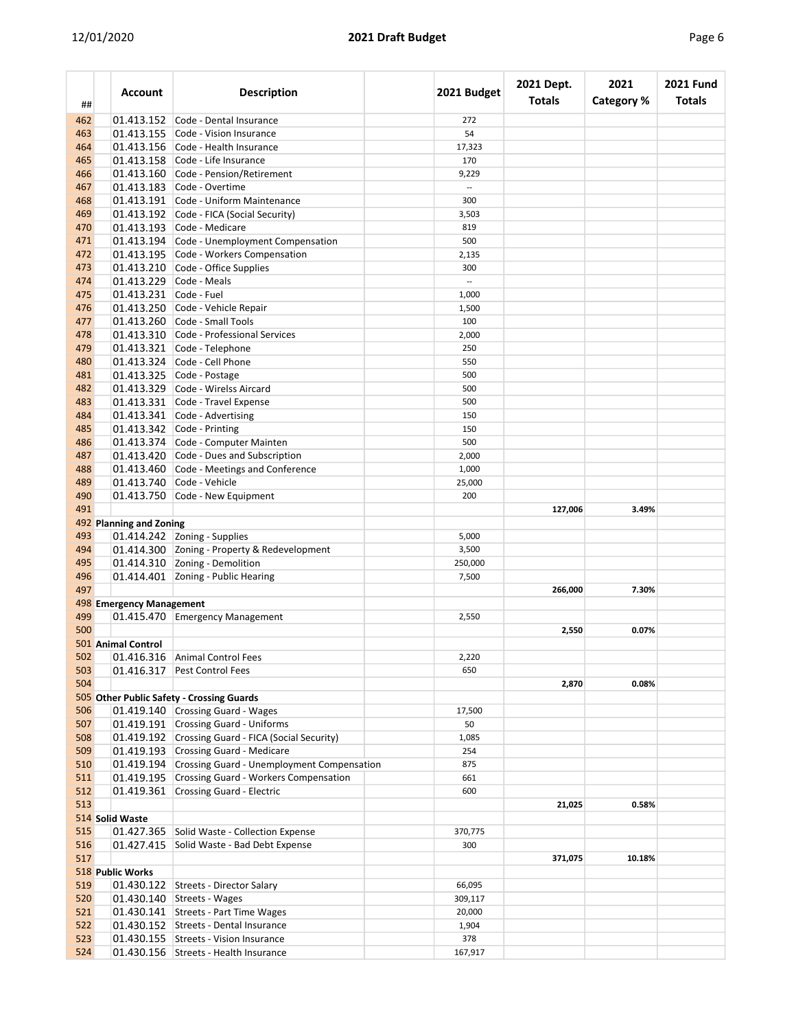| ##  | Account                  | <b>Description</b>                                    | 2021 Budget | 2021 Dept.<br><b>Totals</b> | 2021<br><b>Category %</b> | <b>2021 Fund</b><br><b>Totals</b> |
|-----|--------------------------|-------------------------------------------------------|-------------|-----------------------------|---------------------------|-----------------------------------|
| 462 | 01.413.152               | Code - Dental Insurance                               | 272         |                             |                           |                                   |
| 463 | 01.413.155               | Code - Vision Insurance                               | 54          |                             |                           |                                   |
| 464 |                          | 01.413.156 Code - Health Insurance                    | 17,323      |                             |                           |                                   |
| 465 | 01.413.158               | Code - Life Insurance                                 | 170         |                             |                           |                                   |
| 466 | 01.413.160               | Code - Pension/Retirement                             | 9,229       |                             |                           |                                   |
| 467 |                          | 01.413.183 Code - Overtime                            |             |                             |                           |                                   |
| 468 |                          | 01.413.191 Code - Uniform Maintenance                 | 300         |                             |                           |                                   |
| 469 |                          | 01.413.192 Code - FICA (Social Security)              | 3,503       |                             |                           |                                   |
| 470 |                          | 01.413.193 Code - Medicare                            | 819         |                             |                           |                                   |
| 471 |                          | 01.413.194 Code - Unemployment Compensation           | 500         |                             |                           |                                   |
| 472 |                          | 01.413.195 Code - Workers Compensation                | 2,135       |                             |                           |                                   |
| 473 | 01.413.210               | Code - Office Supplies                                | 300         |                             |                           |                                   |
| 474 |                          | 01.413.229 Code - Meals                               |             |                             |                           |                                   |
| 475 | 01.413.231 Code - Fuel   |                                                       | 1,000       |                             |                           |                                   |
| 476 |                          | 01.413.250 Code - Vehicle Repair                      | 1,500       |                             |                           |                                   |
| 477 |                          | 01.413.260 Code - Small Tools                         | 100         |                             |                           |                                   |
| 478 |                          | 01.413.310 Code - Professional Services               | 2,000       |                             |                           |                                   |
| 479 |                          | 01.413.321 Code - Telephone                           | 250         |                             |                           |                                   |
| 480 |                          | 01.413.324 Code - Cell Phone                          | 550         |                             |                           |                                   |
| 481 |                          |                                                       |             |                             |                           |                                   |
|     |                          | 01.413.325 Code - Postage                             | 500         |                             |                           |                                   |
| 482 |                          | 01.413.329 Code - Wirelss Aircard                     | 500         |                             |                           |                                   |
| 483 |                          | 01.413.331 Code - Travel Expense                      | 500         |                             |                           |                                   |
| 484 |                          | 01.413.341 Code - Advertising                         | 150         |                             |                           |                                   |
| 485 |                          | 01.413.342 Code - Printing                            | 150         |                             |                           |                                   |
| 486 |                          | 01.413.374 Code - Computer Mainten                    | 500         |                             |                           |                                   |
| 487 | 01.413.420               | Code - Dues and Subscription                          | 2,000       |                             |                           |                                   |
| 488 |                          | 01.413.460 Code - Meetings and Conference             | 1,000       |                             |                           |                                   |
| 489 |                          | 01.413.740 Code - Vehicle                             | 25,000      |                             |                           |                                   |
| 490 |                          | 01.413.750 Code - New Equipment                       | 200         |                             |                           |                                   |
| 491 |                          |                                                       |             | 127,006                     | 3.49%                     |                                   |
|     | 492 Planning and Zoning  |                                                       |             |                             |                           |                                   |
| 493 |                          | 01.414.242 Zoning - Supplies                          | 5,000       |                             |                           |                                   |
| 494 |                          | 01.414.300 Zoning - Property & Redevelopment          | 3,500       |                             |                           |                                   |
| 495 |                          | 01.414.310 Zoning - Demolition                        | 250,000     |                             |                           |                                   |
| 496 |                          | 01.414.401 Zoning - Public Hearing                    | 7,500       |                             |                           |                                   |
| 497 |                          |                                                       |             | 266,000                     | 7.30%                     |                                   |
|     | 498 Emergency Management |                                                       |             |                             |                           |                                   |
| 499 |                          | 01.415.470 Emergency Management                       | 2,550       |                             |                           |                                   |
| 500 |                          |                                                       |             | 2,550                       | 0.07%                     |                                   |
|     | 501 Animal Control       |                                                       |             |                             |                           |                                   |
| 502 |                          | 01.416.316 Animal Control Fees                        | 2,220       |                             |                           |                                   |
| 503 |                          | 01.416.317 Pest Control Fees                          | 650         |                             |                           |                                   |
| 504 |                          |                                                       |             | 2,870                       | 0.08%                     |                                   |
|     |                          | 505 Other Public Safety - Crossing Guards             |             |                             |                           |                                   |
| 506 |                          | 01.419.140 Crossing Guard - Wages                     | 17,500      |                             |                           |                                   |
| 507 |                          | 01.419.191 Crossing Guard - Uniforms                  | 50          |                             |                           |                                   |
| 508 |                          | 01.419.192 Crossing Guard - FICA (Social Security)    | 1,085       |                             |                           |                                   |
| 509 |                          | 01.419.193 Crossing Guard - Medicare                  | 254         |                             |                           |                                   |
| 510 |                          | 01.419.194 Crossing Guard - Unemployment Compensation | 875         |                             |                           |                                   |
| 511 |                          | 01.419.195 Crossing Guard - Workers Compensation      | 661         |                             |                           |                                   |
| 512 |                          | 01.419.361 Crossing Guard - Electric                  | 600         |                             |                           |                                   |
| 513 |                          |                                                       |             | 21,025                      | 0.58%                     |                                   |
|     | 514 Solid Waste          |                                                       |             |                             |                           |                                   |
| 515 |                          | 01.427.365 Solid Waste - Collection Expense           | 370,775     |                             |                           |                                   |
| 516 |                          | 01.427.415 Solid Waste - Bad Debt Expense             | 300         |                             |                           |                                   |
| 517 |                          |                                                       |             | 371,075                     | 10.18%                    |                                   |
|     | 518 Public Works         |                                                       |             |                             |                           |                                   |
| 519 |                          | 01.430.122 Streets - Director Salary                  | 66,095      |                             |                           |                                   |
| 520 |                          | 01.430.140 Streets - Wages                            | 309,117     |                             |                           |                                   |
|     |                          | 01.430.141 Streets - Part Time Wages                  | 20,000      |                             |                           |                                   |
| 521 |                          |                                                       |             |                             |                           |                                   |
| 522 |                          | 01.430.152 Streets - Dental Insurance                 | 1,904       |                             |                           |                                   |
| 523 |                          | 01.430.155 Streets - Vision Insurance                 | 378         |                             |                           |                                   |
| 524 |                          | 01.430.156 Streets - Health Insurance                 | 167,917     |                             |                           |                                   |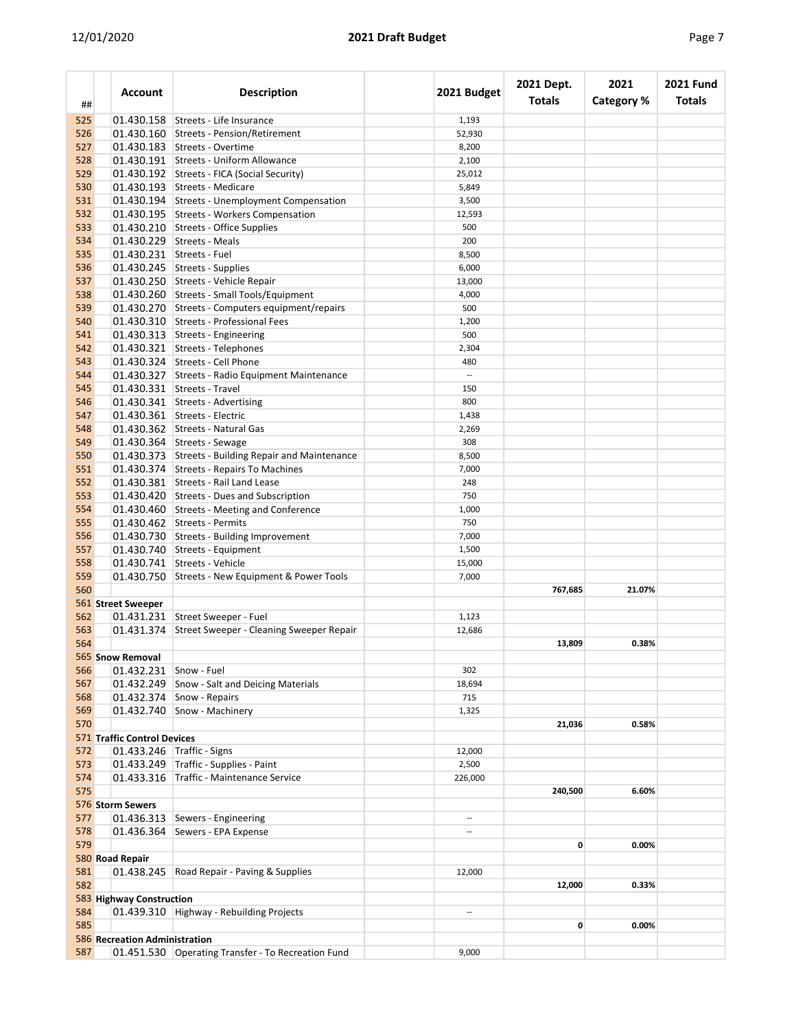| ##  | Account                       | <b>Description</b>                                   | 2021 Budget              | 2021 Dept.<br><b>Totals</b> | 2021<br>Category % | <b>2021 Fund</b><br><b>Totals</b> |
|-----|-------------------------------|------------------------------------------------------|--------------------------|-----------------------------|--------------------|-----------------------------------|
| 525 |                               | 01.430.158 Streets - Life Insurance                  | 1,193                    |                             |                    |                                   |
| 526 |                               | 01.430.160 Streets - Pension/Retirement              | 52,930                   |                             |                    |                                   |
| 527 |                               | 01.430.183 Streets - Overtime                        | 8,200                    |                             |                    |                                   |
| 528 |                               | 01.430.191 Streets - Uniform Allowance               | 2,100                    |                             |                    |                                   |
| 529 |                               | 01.430.192 Streets - FICA (Social Security)          | 25,012                   |                             |                    |                                   |
| 530 |                               | 01.430.193 Streets - Medicare                        | 5,849                    |                             |                    |                                   |
| 531 |                               | 01.430.194 Streets - Unemployment Compensation       | 3,500                    |                             |                    |                                   |
| 532 |                               | 01.430.195 Streets - Workers Compensation            | 12,593                   |                             |                    |                                   |
| 533 |                               | 01.430.210 Streets - Office Supplies                 | 500                      |                             |                    |                                   |
| 534 |                               | 01.430.229 Streets - Meals                           | 200                      |                             |                    |                                   |
|     |                               |                                                      |                          |                             |                    |                                   |
| 535 |                               | 01.430.231 Streets - Fuel                            | 8,500                    |                             |                    |                                   |
| 536 |                               | 01.430.245 Streets - Supplies                        | 6,000                    |                             |                    |                                   |
| 537 |                               | 01.430.250 Streets - Vehicle Repair                  | 13,000                   |                             |                    |                                   |
| 538 |                               | 01.430.260 Streets - Small Tools/Equipment           | 4,000                    |                             |                    |                                   |
| 539 |                               | 01.430.270 Streets - Computers equipment/repairs     | 500                      |                             |                    |                                   |
| 540 |                               | 01.430.310 Streets - Professional Fees               | 1,200                    |                             |                    |                                   |
| 541 |                               | 01.430.313 Streets - Engineering                     | 500                      |                             |                    |                                   |
| 542 |                               | 01.430.321 Streets - Telephones                      | 2,304                    |                             |                    |                                   |
| 543 |                               | 01.430.324 Streets - Cell Phone                      | 480                      |                             |                    |                                   |
| 544 |                               | 01.430.327 Streets - Radio Equipment Maintenance     | $\overline{\phantom{a}}$ |                             |                    |                                   |
| 545 |                               | 01.430.331 Streets - Travel                          | 150                      |                             |                    |                                   |
| 546 |                               | 01.430.341 Streets - Advertising                     | 800                      |                             |                    |                                   |
| 547 |                               | 01.430.361 Streets - Electric                        | 1,438                    |                             |                    |                                   |
| 548 |                               | 01.430.362 Streets - Natural Gas                     | 2,269                    |                             |                    |                                   |
| 549 |                               | 01.430.364 Streets - Sewage                          | 308                      |                             |                    |                                   |
| 550 |                               | 01.430.373 Streets - Building Repair and Maintenance | 8,500                    |                             |                    |                                   |
| 551 |                               | 01.430.374 Streets - Repairs To Machines             | 7,000                    |                             |                    |                                   |
| 552 |                               | 01.430.381 Streets - Rail Land Lease                 | 248                      |                             |                    |                                   |
| 553 |                               | 01.430.420 Streets - Dues and Subscription           | 750                      |                             |                    |                                   |
|     |                               | 01.430.460 Streets - Meeting and Conference          |                          |                             |                    |                                   |
| 554 |                               |                                                      | 1,000                    |                             |                    |                                   |
| 555 |                               | 01.430.462 Streets - Permits                         | 750                      |                             |                    |                                   |
| 556 |                               | 01.430.730 Streets - Building Improvement            | 7,000                    |                             |                    |                                   |
| 557 |                               | 01.430.740 Streets - Equipment                       | 1,500                    |                             |                    |                                   |
| 558 |                               | 01.430.741 Streets - Vehicle                         | 15,000                   |                             |                    |                                   |
| 559 |                               | 01.430.750 Streets - New Equipment & Power Tools     | 7,000                    |                             |                    |                                   |
| 560 |                               |                                                      |                          | 767,685                     | 21.07%             |                                   |
|     | 561 Street Sweeper            |                                                      |                          |                             |                    |                                   |
| 562 |                               | 01.431.231 Street Sweeper - Fuel                     | 1,123                    |                             |                    |                                   |
| 563 |                               | 01.431.374 Street Sweeper - Cleaning Sweeper Repair  | 12,686                   |                             |                    |                                   |
| 564 |                               |                                                      |                          | 13,809                      | 0.38%              |                                   |
|     | 565 Snow Removal              |                                                      |                          |                             |                    |                                   |
| 566 |                               | 01.432.231 Snow - Fuel                               | 302                      |                             |                    |                                   |
| 567 |                               | 01.432.249 Snow - Salt and Deicing Materials         | 18,694                   |                             |                    |                                   |
| 568 |                               | 01.432.374 Snow - Repairs                            | 715                      |                             |                    |                                   |
| 569 |                               | $01.432.740$ Snow - Machinery                        | 1,325                    |                             |                    |                                   |
| 570 |                               |                                                      |                          | 21,036                      | 0.58%              |                                   |
|     | 571 Traffic Control Devices   |                                                      |                          |                             |                    |                                   |
| 572 |                               | 01.433.246 Traffic - Signs                           | 12,000                   |                             |                    |                                   |
| 573 |                               | 01.433.249 Traffic - Supplies - Paint                | 2,500                    |                             |                    |                                   |
| 574 |                               | 01.433.316 Traffic - Maintenance Service             | 226,000                  |                             |                    |                                   |
| 575 |                               |                                                      |                          | 240,500                     | 6.60%              |                                   |
|     | 576 Storm Sewers              |                                                      |                          |                             |                    |                                   |
| 577 |                               | 01.436.313 Sewers - Engineering                      | --                       |                             |                    |                                   |
| 578 |                               | 01.436.364 Sewers - EPA Expense                      | $\overline{\phantom{a}}$ |                             |                    |                                   |
| 579 |                               |                                                      |                          | $\mathbf{0}$                | 0.00%              |                                   |
|     |                               |                                                      |                          |                             |                    |                                   |
|     | 580 Road Repair               |                                                      |                          |                             |                    |                                   |
| 581 |                               | 01.438.245 Road Repair - Paving & Supplies           | 12,000                   |                             |                    |                                   |
| 582 |                               |                                                      |                          | 12,000                      | 0.33%              |                                   |
|     | 583 Highway Construction      |                                                      |                          |                             |                    |                                   |
| 584 |                               | 01.439.310 Highway - Rebuilding Projects             |                          |                             |                    |                                   |
| 585 |                               |                                                      |                          | $\mathbf{0}$                | 0.00%              |                                   |
|     | 586 Recreation Administration |                                                      |                          |                             |                    |                                   |
| 587 |                               | 01.451.530 Operating Transfer - To Recreation Fund   | 9,000                    |                             |                    |                                   |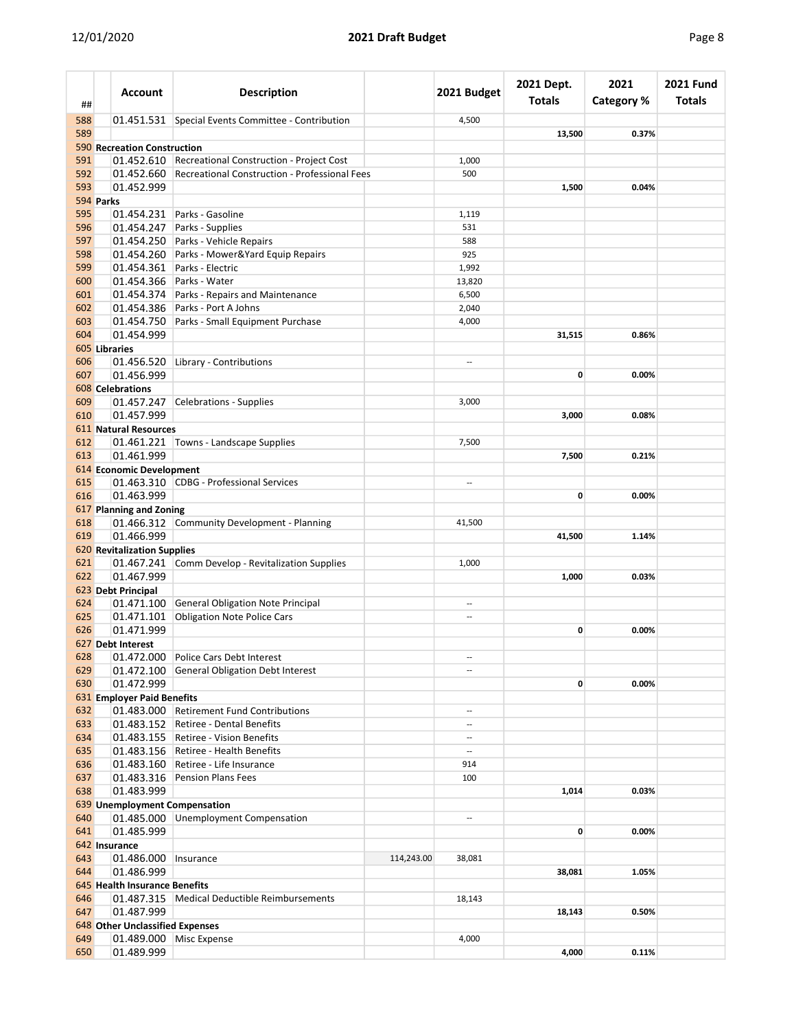| ##         | <b>Account</b>                  | <b>Description</b>                                       |            | 2021 Budget              | 2021 Dept.<br><b>Totals</b> | 2021<br><b>Category %</b> | <b>2021 Fund</b><br><b>Totals</b> |
|------------|---------------------------------|----------------------------------------------------------|------------|--------------------------|-----------------------------|---------------------------|-----------------------------------|
| 588        |                                 | 01.451.531 Special Events Committee - Contribution       |            | 4,500                    |                             |                           |                                   |
| 589        |                                 |                                                          |            |                          | 13,500                      | 0.37%                     |                                   |
|            | 590 Recreation Construction     |                                                          |            |                          |                             |                           |                                   |
| 591        |                                 | 01.452.610 Recreational Construction - Project Cost      |            | 1,000                    |                             |                           |                                   |
| 592        |                                 | 01.452.660 Recreational Construction - Professional Fees |            | 500                      |                             |                           |                                   |
| 593        | 01.452.999                      |                                                          |            |                          | 1,500                       | 0.04%                     |                                   |
|            | 594 Parks                       |                                                          |            |                          |                             |                           |                                   |
| 595        |                                 | 01.454.231 Parks - Gasoline                              |            | 1,119                    |                             |                           |                                   |
| 596        |                                 | 01.454.247 Parks - Supplies                              |            | 531                      |                             |                           |                                   |
| 597        |                                 | 01.454.250 Parks - Vehicle Repairs                       |            | 588                      |                             |                           |                                   |
| 598        |                                 | 01.454.260 Parks - Mower&Yard Equip Repairs              |            | 925                      |                             |                           |                                   |
| 599        |                                 | 01.454.361 Parks - Electric                              |            | 1,992                    |                             |                           |                                   |
| 600        |                                 | 01.454.366 Parks - Water                                 |            | 13,820                   |                             |                           |                                   |
| 601        | 01.454.374                      | Parks - Repairs and Maintenance                          |            | 6,500                    |                             |                           |                                   |
| 602        |                                 | 01.454.386 Parks - Port A Johns                          |            | 2,040                    |                             |                           |                                   |
| 603        |                                 | 01.454.750 Parks - Small Equipment Purchase              |            | 4,000                    |                             |                           |                                   |
| 604        | 01.454.999                      |                                                          |            |                          | 31,515                      | 0.86%                     |                                   |
|            | 605 Libraries                   |                                                          |            |                          |                             |                           |                                   |
| 606<br>607 | 01.456.999                      | 01.456.520 Library - Contributions                       |            | --                       | 0                           | 0.00%                     |                                   |
|            | <b>608</b> Celebrations         |                                                          |            |                          |                             |                           |                                   |
| 609        |                                 | 01.457.247 Celebrations - Supplies                       |            | 3,000                    |                             |                           |                                   |
| 610        | 01.457.999                      |                                                          |            |                          | 3,000                       | 0.08%                     |                                   |
|            | 611 Natural Resources           |                                                          |            |                          |                             |                           |                                   |
| 612        |                                 | 01.461.221 Towns - Landscape Supplies                    |            | 7,500                    |                             |                           |                                   |
| 613        | 01.461.999                      |                                                          |            |                          | 7,500                       | 0.21%                     |                                   |
|            | 614 Economic Development        |                                                          |            |                          |                             |                           |                                   |
| 615        |                                 | 01.463.310 CDBG - Professional Services                  |            | $\overline{a}$           |                             |                           |                                   |
| 616        | 01.463.999                      |                                                          |            |                          | 0                           | 0.00%                     |                                   |
|            | 617 Planning and Zoning         |                                                          |            |                          |                             |                           |                                   |
| 618        |                                 | 01.466.312 Community Development - Planning              |            | 41,500                   |                             |                           |                                   |
| 619        | 01.466.999                      |                                                          |            |                          | 41,500                      | 1.14%                     |                                   |
|            | 620 Revitalization Supplies     |                                                          |            |                          |                             |                           |                                   |
| 621        |                                 | 01.467.241 Comm Develop - Revitalization Supplies        |            | 1,000                    |                             |                           |                                   |
| 622        | 01.467.999                      |                                                          |            |                          | 1,000                       | 0.03%                     |                                   |
|            | 623 Debt Principal              |                                                          |            |                          |                             |                           |                                   |
| 624        |                                 | 01.471.100 General Obligation Note Principal             |            | --                       |                             |                           |                                   |
| 625        | 01.471.101                      | <b>Obligation Note Police Cars</b>                       |            | --                       |                             |                           |                                   |
| 626        | 01.471.999                      |                                                          |            |                          | 0                           | 0.00%                     |                                   |
|            | 627 Debt Interest               |                                                          |            |                          |                             |                           |                                   |
| 628        |                                 | 01.472.000 Police Cars Debt Interest                     |            | $\overline{a}$           |                             |                           |                                   |
| 629        |                                 | 01.472.100 General Obligation Debt Interest              |            | --                       |                             |                           |                                   |
| 630        | 01.472.999                      |                                                          |            |                          | $\mathbf{0}$                | 0.00%                     |                                   |
|            | 631 Employer Paid Benefits      |                                                          |            |                          |                             |                           |                                   |
| 632        |                                 | 01.483.000 Retirement Fund Contributions                 |            | $\overline{a}$           |                             |                           |                                   |
| 633        | 01.483.152                      | <b>Retiree - Dental Benefits</b>                         |            | --                       |                             |                           |                                   |
| 634        | 01.483.155                      | Retiree - Vision Benefits                                |            | --                       |                             |                           |                                   |
| 635        |                                 | 01.483.156 Retiree - Health Benefits                     |            | $\overline{\phantom{a}}$ |                             |                           |                                   |
| 636        |                                 | 01.483.160 Retiree - Life Insurance                      |            | 914                      |                             |                           |                                   |
| 637        |                                 | 01.483.316 Pension Plans Fees                            |            | 100                      |                             |                           |                                   |
| 638        | 01.483.999                      |                                                          |            |                          | 1,014                       | 0.03%                     |                                   |
|            | 639 Unemployment Compensation   |                                                          |            |                          |                             |                           |                                   |
| 640        |                                 | 01.485.000 Unemployment Compensation                     |            | --                       |                             |                           |                                   |
| 641        | 01.485.999                      |                                                          |            |                          | $\mathbf 0$                 | 0.00%                     |                                   |
|            | 642 Insurance                   |                                                          |            |                          |                             |                           |                                   |
| 643        | 01.486.000                      | Insurance                                                | 114,243.00 | 38,081                   |                             |                           |                                   |
| 644        | 01.486.999                      |                                                          |            |                          | 38,081                      | 1.05%                     |                                   |
|            | 645 Health Insurance Benefits   |                                                          |            |                          |                             |                           |                                   |
| 646<br>647 | 01.487.999                      | 01.487.315   Medical Deductible Reimbursements           |            | 18,143                   | 18,143                      | 0.50%                     |                                   |
|            | 648 Other Unclassified Expenses |                                                          |            |                          |                             |                           |                                   |
| 649        |                                 | 01.489.000 Misc Expense                                  |            | 4,000                    |                             |                           |                                   |
| 650        | 01.489.999                      |                                                          |            |                          | 4,000                       | 0.11%                     |                                   |
|            |                                 |                                                          |            |                          |                             |                           |                                   |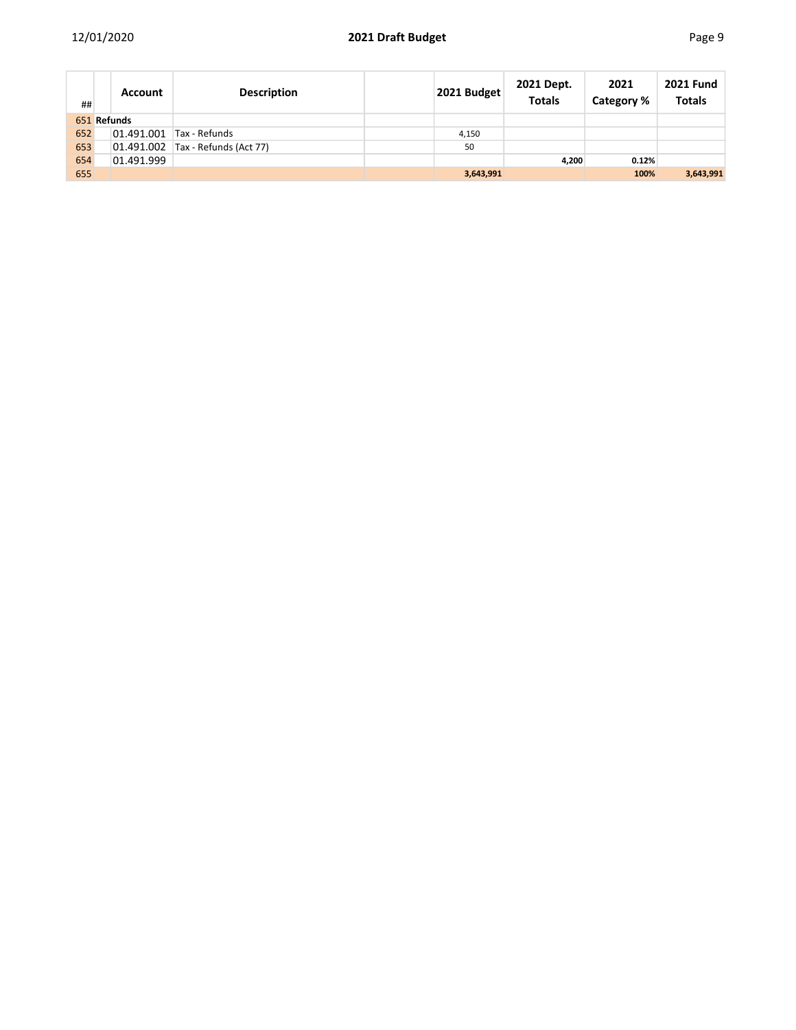|--|--|--|--|--|

| ##  | <b>Account</b> | <b>Description</b>                | 2021 Budget | 2021 Dept.<br><b>Totals</b> | 2021<br>Category % | <b>2021 Fund</b><br><b>Totals</b> |
|-----|----------------|-----------------------------------|-------------|-----------------------------|--------------------|-----------------------------------|
|     | 651 Refunds    |                                   |             |                             |                    |                                   |
| 652 | 01.491.001     | Tax - Refunds                     | 4,150       |                             |                    |                                   |
| 653 |                | 01.491.002 Tax - Refunds (Act 77) | 50          |                             |                    |                                   |
| 654 | 01.491.999     |                                   |             | 4,200                       | 0.12%              |                                   |
| 655 |                |                                   | 3,643,991   |                             | 100%               | 3,643,991                         |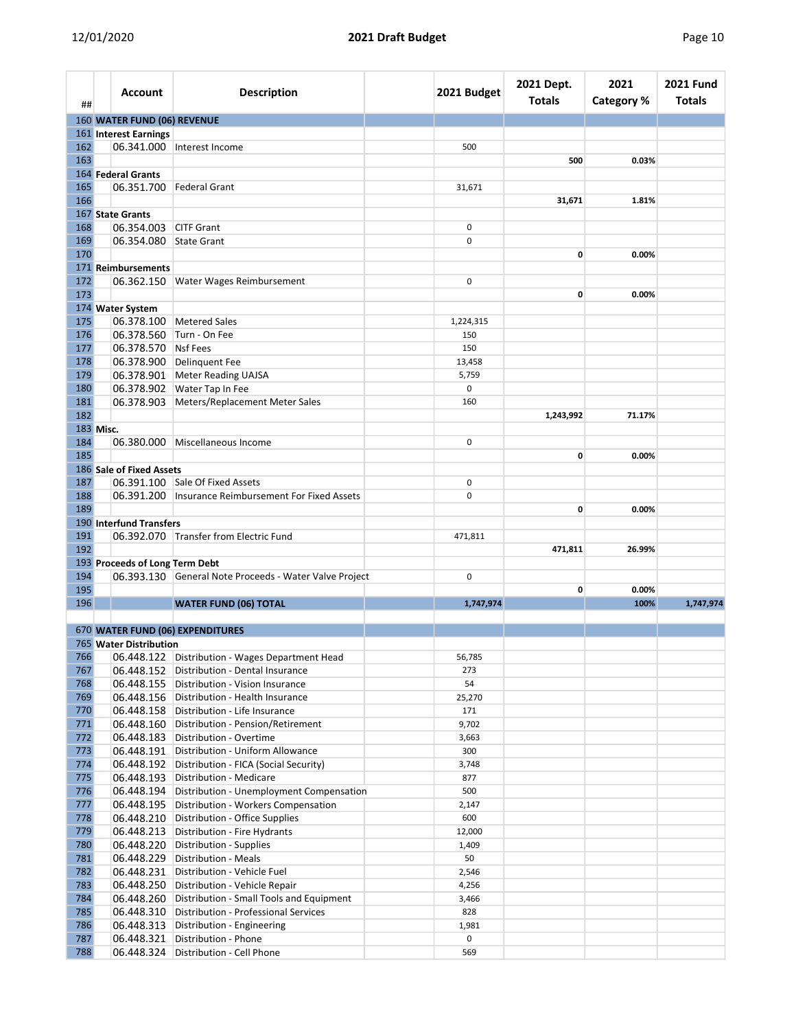| ##         | Account                        | <b>Description</b>                                     | 2021 Budget          | 2021 Dept.<br>Totals | 2021<br><b>Category %</b> | <b>2021 Fund</b><br>Totals |
|------------|--------------------------------|--------------------------------------------------------|----------------------|----------------------|---------------------------|----------------------------|
|            | 160 WATER FUND (06) REVENUE    |                                                        |                      |                      |                           |                            |
|            | 161 Interest Earnings          |                                                        |                      |                      |                           |                            |
| 162        |                                | 06.341.000   Interest Income                           | 500                  |                      |                           |                            |
| 163        |                                |                                                        |                      | 500                  | 0.03%                     |                            |
|            | 164 Federal Grants             |                                                        |                      |                      |                           |                            |
| 165        |                                | 06.351.700   Federal Grant                             | 31,671               |                      |                           |                            |
| 166        |                                |                                                        |                      | 31,671               | 1.81%                     |                            |
|            | 167 State Grants               |                                                        |                      |                      |                           |                            |
| 168        | 06.354.003 CITF Grant          |                                                        | 0                    |                      |                           |                            |
| 169        | 06.354.080 State Grant         |                                                        | $\mathbf 0$          |                      |                           |                            |
| 170        |                                |                                                        |                      | 0                    | 0.00%                     |                            |
|            | 171 Reimbursements             |                                                        |                      |                      |                           |                            |
| 172<br>173 | 06.362.150                     | <b>Water Wages Reimbursement</b>                       | $\mathbf 0$          |                      |                           |                            |
|            |                                |                                                        |                      | 0                    | 0.00%                     |                            |
| 175        | 174 Water System               |                                                        |                      |                      |                           |                            |
|            |                                | 06.378.100 Metered Sales                               | 1,224,315            |                      |                           |                            |
| 176<br>177 | 06.378.570 Nsf Fees            | 06.378.560 Turn - On Fee                               | 150                  |                      |                           |                            |
|            |                                | 06.378.900 Delinquent Fee                              | 150                  |                      |                           |                            |
| 178<br>179 |                                |                                                        | 13,458               |                      |                           |                            |
| 180        |                                | 06.378.901 Meter Reading UAJSA                         | 5,759<br>$\mathbf 0$ |                      |                           |                            |
| 181        |                                | 06.378.902 Water Tap In Fee                            | 160                  |                      |                           |                            |
| 182        |                                | 06.378.903 Meters/Replacement Meter Sales              |                      | 1,243,992            | 71.17%                    |                            |
| 183 Misc.  |                                |                                                        |                      |                      |                           |                            |
| 184        |                                | 06.380.000 Miscellaneous Income                        | $\mathbf 0$          |                      |                           |                            |
| 185        |                                |                                                        |                      | 0                    | 0.00%                     |                            |
|            | 186 Sale of Fixed Assets       |                                                        |                      |                      |                           |                            |
| 187        |                                | 06.391.100 Sale Of Fixed Assets                        | $\mathbf 0$          |                      |                           |                            |
| 188        |                                | 06.391.200   Insurance Reimbursement For Fixed Assets  | $\mathbf 0$          |                      |                           |                            |
| 189        |                                |                                                        |                      | 0                    | 0.00%                     |                            |
|            | 190 Interfund Transfers        |                                                        |                      |                      |                           |                            |
| 191        |                                | 06.392.070 Transfer from Electric Fund                 | 471,811              |                      |                           |                            |
| 192        |                                |                                                        |                      | 471,811              | 26.99%                    |                            |
|            | 193 Proceeds of Long Term Debt |                                                        |                      |                      |                           |                            |
| 194        |                                | 06.393.130 General Note Proceeds - Water Valve Project | $\mathbf 0$          |                      |                           |                            |
| 195        |                                |                                                        |                      | 0                    | 0.00%                     |                            |
| 196        |                                | <b>WATER FUND (06) TOTAL</b>                           | 1,747,974            |                      | 100%                      | 1,747,974                  |
|            |                                |                                                        |                      |                      |                           |                            |
|            |                                | 670 WATER FUND (06) EXPENDITURES                       |                      |                      |                           |                            |
|            | <b>765 Water Distribution</b>  |                                                        |                      |                      |                           |                            |
| 766        | 06.448.122                     | Distribution - Wages Department Head                   | 56,785               |                      |                           |                            |
| 767        |                                | 06.448.152 Distribution - Dental Insurance             | 273                  |                      |                           |                            |
| 768        |                                | 06.448.155 Distribution - Vision Insurance             | 54                   |                      |                           |                            |
| 769        |                                | 06.448.156   Distribution - Health Insurance           | 25,270               |                      |                           |                            |
| 770        |                                | 06.448.158 Distribution - Life Insurance               | 171                  |                      |                           |                            |
| 771        |                                | 06.448.160 Distribution - Pension/Retirement           | 9,702                |                      |                           |                            |
| 772        |                                | 06.448.183 Distribution - Overtime                     | 3,663                |                      |                           |                            |
| 773        |                                | 06.448.191   Distribution - Uniform Allowance          | 300                  |                      |                           |                            |
| 774        |                                | 06.448.192 Distribution - FICA (Social Security)       | 3,748                |                      |                           |                            |
| 775        |                                | 06.448.193 Distribution - Medicare                     | 877                  |                      |                           |                            |
| 776        |                                | 06.448.194 Distribution - Unemployment Compensation    | 500                  |                      |                           |                            |
| 777        |                                | 06.448.195 Distribution - Workers Compensation         | 2,147                |                      |                           |                            |
| 778        |                                | 06.448.210 Distribution - Office Supplies              | 600                  |                      |                           |                            |
| 779        |                                | 06.448.213 Distribution - Fire Hydrants                | 12,000               |                      |                           |                            |
| 780        |                                | 06.448.220 Distribution - Supplies                     | 1,409                |                      |                           |                            |
| 781        |                                | 06.448.229 Distribution - Meals                        | 50                   |                      |                           |                            |
| 782        |                                | 06.448.231 Distribution - Vehicle Fuel                 | 2,546                |                      |                           |                            |
| 783        |                                | 06.448.250 Distribution - Vehicle Repair               | 4,256                |                      |                           |                            |
| 784        |                                | 06.448.260 Distribution - Small Tools and Equipment    | 3,466                |                      |                           |                            |
| 785        |                                | 06.448.310 Distribution - Professional Services        | 828                  |                      |                           |                            |
| 786        |                                | 06.448.313 Distribution - Engineering                  | 1,981                |                      |                           |                            |
| 787        |                                | 06.448.321 Distribution - Phone                        | 0                    |                      |                           |                            |
| 788        |                                | 06.448.324 Distribution - Cell Phone                   | 569                  |                      |                           |                            |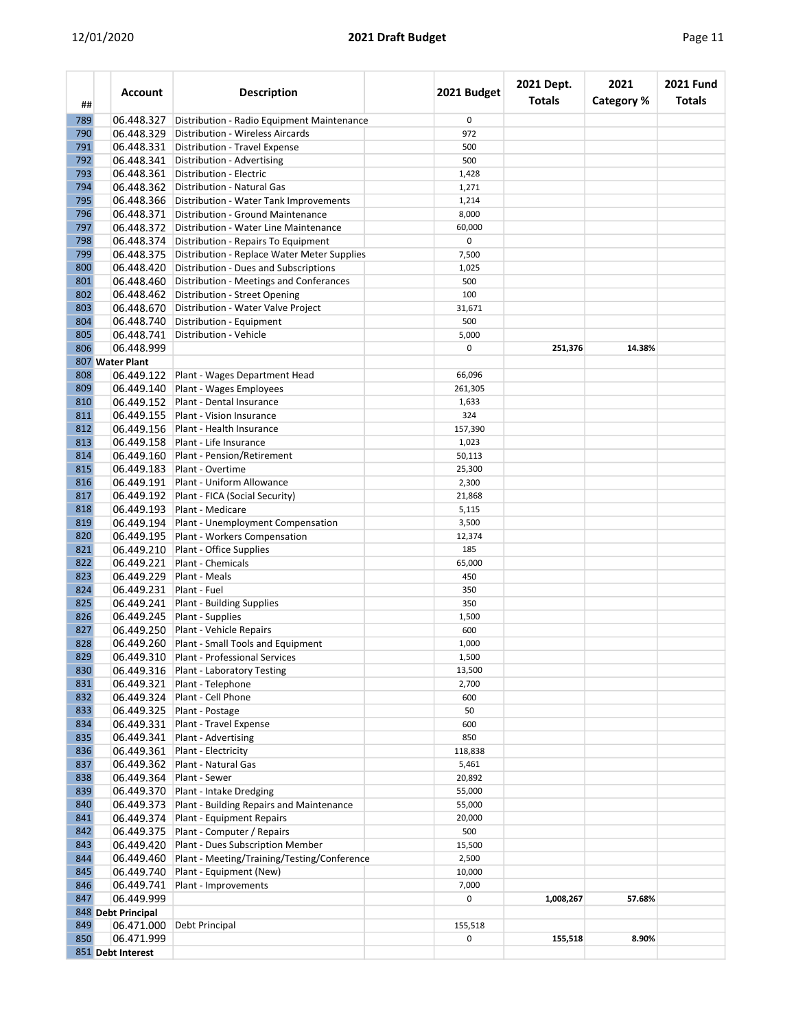|--|

| ##         | <b>Account</b>     | <b>Description</b>                                                  | 2021 Budget     | 2021 Dept.<br><b>Totals</b> | 2021<br><b>Category %</b> | <b>2021 Fund</b><br>Totals |
|------------|--------------------|---------------------------------------------------------------------|-----------------|-----------------------------|---------------------------|----------------------------|
| 789        | 06.448.327         | Distribution - Radio Equipment Maintenance                          | 0               |                             |                           |                            |
| 790        | 06.448.329         | Distribution - Wireless Aircards                                    | 972             |                             |                           |                            |
| 791        | 06.448.331         | Distribution - Travel Expense                                       | 500             |                             |                           |                            |
| 792        | 06.448.341         | Distribution - Advertising                                          | 500             |                             |                           |                            |
| 793        | 06.448.361         | Distribution - Electric                                             | 1,428           |                             |                           |                            |
| 794        | 06.448.362         | Distribution - Natural Gas                                          | 1,271           |                             |                           |                            |
| 795        | 06.448.366         | Distribution - Water Tank Improvements                              | 1,214           |                             |                           |                            |
| 796        | 06.448.371         | Distribution - Ground Maintenance                                   | 8,000           |                             |                           |                            |
| 797        | 06.448.372         | Distribution - Water Line Maintenance                               | 60,000          |                             |                           |                            |
| 798        |                    | 06.448.374 Distribution - Repairs To Equipment                      | 0               |                             |                           |                            |
| 799        | 06.448.375         | Distribution - Replace Water Meter Supplies                         | 7,500           |                             |                           |                            |
| 800        | 06.448.420         | Distribution - Dues and Subscriptions                               | 1,025           |                             |                           |                            |
| 801        | 06.448.460         | Distribution - Meetings and Conferances                             | 500             |                             |                           |                            |
| 802        | 06.448.462         | Distribution - Street Opening                                       | 100             |                             |                           |                            |
| 803        | 06.448.670         | Distribution - Water Valve Project                                  | 31,671          |                             |                           |                            |
| 804        | 06.448.740         | Distribution - Equipment                                            | 500             |                             |                           |                            |
| 805        | 06.448.741         | Distribution - Vehicle                                              | 5,000           |                             |                           |                            |
| 806        | 06.448.999         |                                                                     | 0               | 251,376                     | 14.38%                    |                            |
|            | 807 Water Plant    |                                                                     |                 |                             |                           |                            |
| 808        | 06.449.122         | Plant - Wages Department Head                                       | 66,096          |                             |                           |                            |
| 809        | 06.449.140         | Plant - Wages Employees                                             | 261,305         |                             |                           |                            |
| 810        | 06.449.152         | Plant - Dental Insurance                                            | 1,633           |                             |                           |                            |
| 811        | 06.449.155         | <b>Plant - Vision Insurance</b>                                     | 324             |                             |                           |                            |
| 812        | 06.449.156         | Plant - Health Insurance                                            | 157,390         |                             |                           |                            |
| 813        | 06.449.158         | Plant - Life Insurance                                              | 1,023           |                             |                           |                            |
| 814        | 06.449.160         | Plant - Pension/Retirement                                          | 50,113          |                             |                           |                            |
| 815        | 06.449.183         | Plant - Overtime                                                    | 25,300          |                             |                           |                            |
| 816        |                    | 06.449.191 Plant - Uniform Allowance                                | 2,300           |                             |                           |                            |
| 817        | 06.449.192         | Plant - FICA (Social Security)                                      | 21,868          |                             |                           |                            |
| 818        | 06.449.193         | Plant - Medicare                                                    | 5,115           |                             |                           |                            |
| 819        | 06.449.194         | Plant - Unemployment Compensation                                   | 3,500           |                             |                           |                            |
| 820        | 06.449.195         | Plant - Workers Compensation                                        | 12,374          |                             |                           |                            |
| 821        | 06.449.210         | Plant - Office Supplies                                             | 185             |                             |                           |                            |
| 822        | 06.449.221         | Plant - Chemicals                                                   | 65,000          |                             |                           |                            |
| 823        | 06.449.229         | Plant - Meals                                                       | 450             |                             |                           |                            |
| 824        | 06.449.231         | Plant - Fuel                                                        | 350             |                             |                           |                            |
| 825        | 06.449.241         | Plant - Building Supplies                                           | 350             |                             |                           |                            |
| 826        | 06.449.245         | Plant - Supplies                                                    | 1,500           |                             |                           |                            |
| 827        | 06.449.250         | Plant - Vehicle Repairs                                             | 600             |                             |                           |                            |
| 828        |                    | 06.449.260 Plant - Small Tools and Equipment                        | 1,000           |                             |                           |                            |
| 829        | 06.449.310         | Plant - Professional Services                                       | 1,500           |                             |                           |                            |
| 830        |                    | 06.449.316 Plant - Laboratory Testing                               | 13,500          |                             |                           |                            |
| 831        |                    | 06.449.321 Plant - Telephone                                        | 2,700           |                             |                           |                            |
| 832        | 06.449.324         | Plant - Cell Phone                                                  | 600             |                             |                           |                            |
| 833        |                    | 06.449.325 Plant - Postage                                          | 50              |                             |                           |                            |
|            |                    |                                                                     | 600             |                             |                           |                            |
| 834<br>835 |                    | 06.449.331 Plant - Travel Expense<br>06.449.341 Plant - Advertising | 850             |                             |                           |                            |
| 836        | 06.449.361         | <b>Plant - Electricity</b>                                          | 118,838         |                             |                           |                            |
|            |                    |                                                                     |                 |                             |                           |                            |
| 837        |                    | 06.449.362 Plant - Natural Gas<br>06.449.364 Plant - Sewer          | 5,461<br>20,892 |                             |                           |                            |
| 838        |                    |                                                                     |                 |                             |                           |                            |
| 839        | 06.449.370         | Plant - Intake Dredging                                             | 55,000          |                             |                           |                            |
| 840        |                    | 06.449.373 Plant - Building Repairs and Maintenance                 | 55,000          |                             |                           |                            |
| 841        |                    | 06.449.374 Plant - Equipment Repairs                                | 20,000          |                             |                           |                            |
| 842        |                    | 06.449.375 Plant - Computer / Repairs                               | 500             |                             |                           |                            |
| 843        | 06.449.420         | Plant - Dues Subscription Member                                    | 15,500          |                             |                           |                            |
| 844        | 06.449.460         | Plant - Meeting/Training/Testing/Conference                         | 2,500           |                             |                           |                            |
| 845        | 06.449.740         | Plant - Equipment (New)                                             | 10,000          |                             |                           |                            |
| 846        | 06.449.741         | Plant - Improvements                                                | 7,000           |                             |                           |                            |
| 847        | 06.449.999         |                                                                     | 0               | 1,008,267                   | 57.68%                    |                            |
|            | 848 Debt Principal |                                                                     |                 |                             |                           |                            |
| 849        | 06.471.000         | Debt Principal                                                      | 155,518         |                             |                           |                            |
| 850        | 06.471.999         |                                                                     | 0               | 155,518                     | 8.90%                     |                            |
|            | 851 Debt Interest  |                                                                     |                 |                             |                           |                            |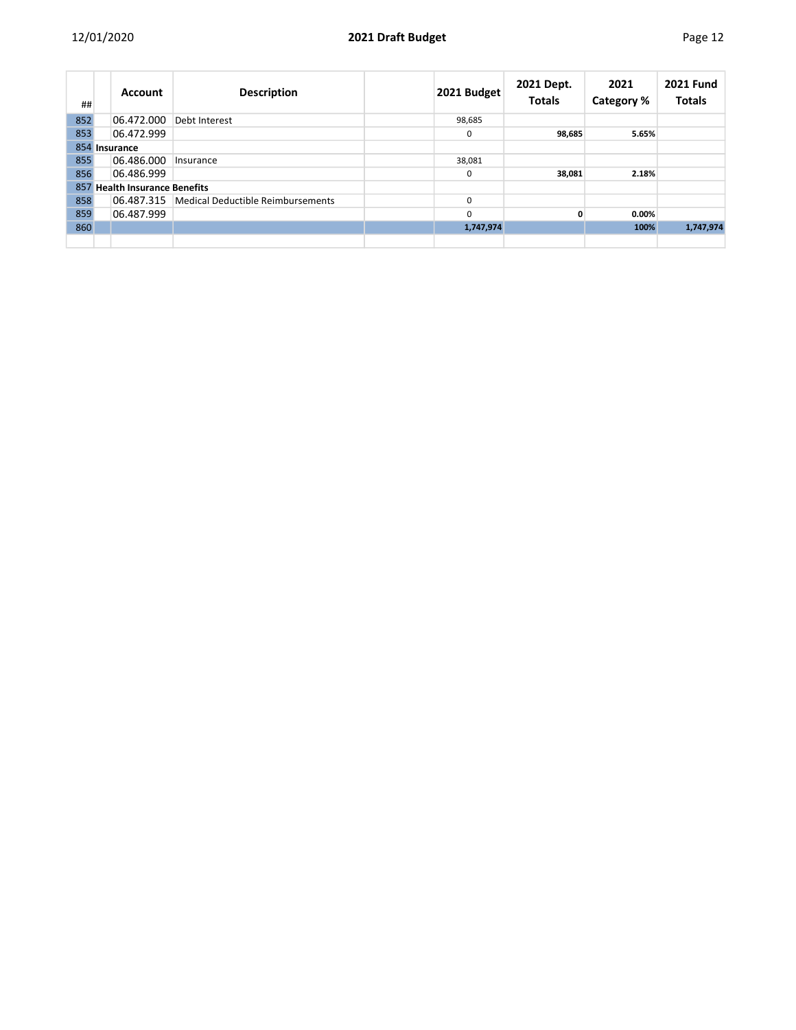| ##            |  | <b>Account</b>                | <b>Description</b>                | 2021 Budget | 2021 Dept.<br><b>Totals</b> | 2021<br>Category % | <b>2021 Fund</b><br><b>Totals</b> |
|---------------|--|-------------------------------|-----------------------------------|-------------|-----------------------------|--------------------|-----------------------------------|
| 852           |  | 06.472.000                    | Debt Interest                     | 98,685      |                             |                    |                                   |
| 853           |  | 06.472.999                    |                                   | 0           | 98,685                      | 5.65%              |                                   |
| 854 Insurance |  |                               |                                   |             |                             |                    |                                   |
| 855           |  | 06.486.000                    | Insurance                         | 38,081      |                             |                    |                                   |
| 856           |  | 06.486.999                    |                                   | 0           | 38,081                      | 2.18%              |                                   |
|               |  | 857 Health Insurance Benefits |                                   |             |                             |                    |                                   |
| 858           |  | 06.487.315                    | Medical Deductible Reimbursements | 0           |                             |                    |                                   |
| 859           |  | 06.487.999                    |                                   | $\Omega$    | 0                           | 0.00%              |                                   |
| 860           |  |                               |                                   | 1,747,974   |                             | 100%               | 1,747,974                         |
|               |  |                               |                                   |             |                             |                    |                                   |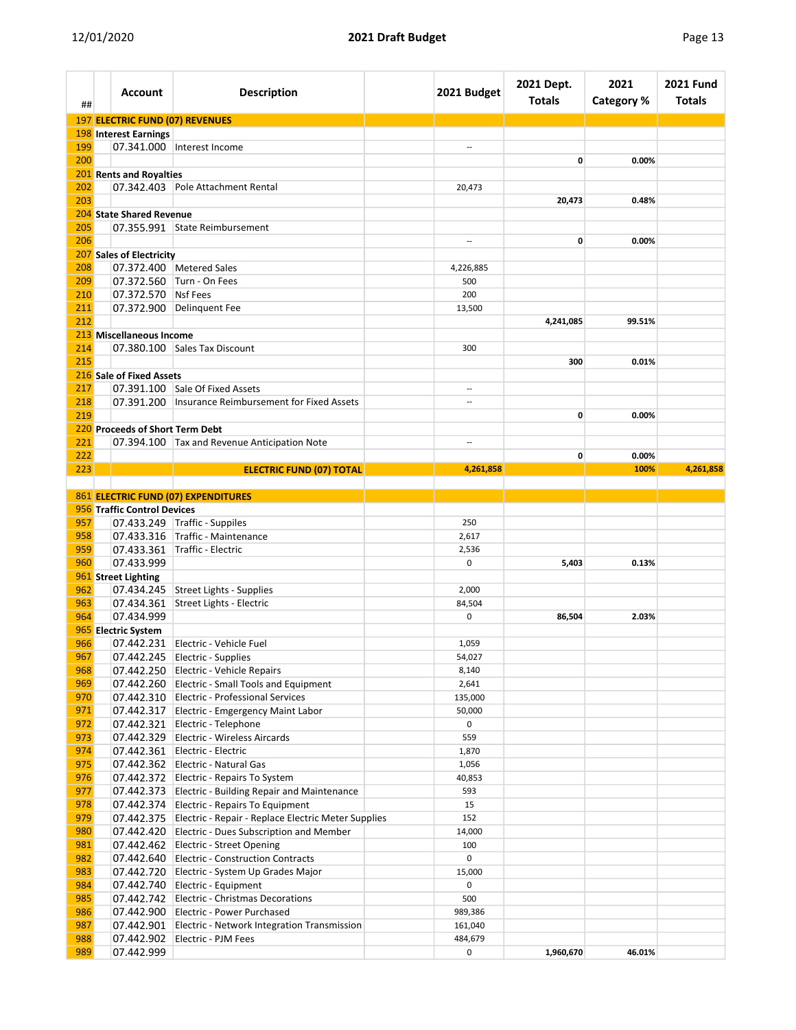| 197 ELECTRIC FUND (07) REVENUES<br><b>198 Interest Earnings</b><br>199<br>07.341.000 Interest Income<br>$\overline{a}$<br>200<br>0<br>0.00%<br>201 Rents and Royalties<br>07.342.403 Pole Attachment Rental<br>202<br>20,473<br>203<br>20,473<br>0.48%<br>204 State Shared Revenue<br>07.355.991 State Reimbursement<br>205<br>206<br>0<br>0.00%<br>$\overline{\phantom{a}}$<br>207 Sales of Electricity<br>208<br>07.372.400 Metered Sales<br>4,226,885<br>209<br>07.372.560 Turn - On Fees<br>500<br>07.372.570 Nsf Fees<br>210<br>200<br>07.372.900 Delinquent Fee<br>211<br>13,500<br>212<br>4,241,085<br>99.51%<br>213 Miscellaneous Income<br>214<br>07.380.100 Sales Tax Discount<br>300<br>215<br>300<br>0.01%<br>216 Sale of Fixed Assets<br>07.391.100 Sale Of Fixed Assets<br>217<br>218<br>07.391.200   Insurance Reimbursement for Fixed Assets<br>$\overline{a}$<br>219<br>0<br>0.00%<br>220 Proceeds of Short Term Debt<br>221<br>07.394.100 Tax and Revenue Anticipation Note<br>222<br>0<br>0.00%<br>223<br><b>ELECTRIC FUND (07) TOTAL</b><br>100%<br>4,261,858<br>4,261,858<br>861 ELECTRIC FUND (07) EXPENDITURES<br>956 Traffic Control Devices<br>$07.433.249$ Traffic - Suppiles<br>957<br>250<br>07.433.316 Traffic - Maintenance<br>958<br>2,617<br>07.433.361 Traffic - Electric<br>959<br>2,536<br>07.433.999<br>960<br>$\mathbf 0$<br>5,403<br>0.13%<br>961 Street Lighting<br>07.434.245 Street Lights - Supplies<br>962<br>2,000<br>963<br>07.434.361 Street Lights - Electric<br>84,504<br>07.434.999<br>964<br>$\mathbf 0$<br>86,504<br>2.03%<br>965 Electric System<br>966<br>07.442.231 Electric - Vehicle Fuel<br>1,059<br>967<br>07.442.245 Electric - Supplies<br>54,027<br>968<br>07.442.250 Electric - Vehicle Repairs<br>8,140<br>969<br>07.442.260 Electric - Small Tools and Equipment<br>2,641<br>970<br>07.442.310 Electric - Professional Services<br>135,000<br>971<br>07.442.317 Electric - Emgergency Maint Labor<br>50,000<br>07.442.321 Electric - Telephone<br>0<br>972<br>973<br>07.442.329 Electric - Wireless Aircards<br>559<br>07.442.361 Electric - Electric<br>974<br>1,870<br>975<br>07.442.362 Electric - Natural Gas<br>1,056<br>976<br>07.442.372 Electric - Repairs To System<br>40,853<br>977<br>07.442.373 Electric - Building Repair and Maintenance<br>593<br>978<br>07.442.374 Electric - Repairs To Equipment<br>15<br>979<br>07.442.375 Electric - Repair - Replace Electric Meter Supplies<br>152<br>14,000<br>980<br>07.442.420 Electric - Dues Subscription and Member<br>07.442.462 Electric - Street Opening<br>981<br>100<br>0<br>982<br>07.442.640 Electric - Construction Contracts<br>983<br>15,000<br>07.442.720 Electric - System Up Grades Major<br>0<br>984<br>07.442.740 Electric - Equipment<br>07.442.742 Electric - Christmas Decorations<br>985<br>500<br>986<br>07.442.900 Electric - Power Purchased<br>989,386<br>987<br>07.442.901 Electric - Network Integration Transmission<br>161,040<br>988<br>07.442.902 Electric - PJM Fees<br>484,679<br>46.01% | ##  | <b>Account</b> | <b>Description</b> | 2021 Budget | 2021 Dept.<br><b>Totals</b> | 2021<br><b>Category %</b> | <b>2021 Fund</b><br><b>Totals</b> |
|-----------------------------------------------------------------------------------------------------------------------------------------------------------------------------------------------------------------------------------------------------------------------------------------------------------------------------------------------------------------------------------------------------------------------------------------------------------------------------------------------------------------------------------------------------------------------------------------------------------------------------------------------------------------------------------------------------------------------------------------------------------------------------------------------------------------------------------------------------------------------------------------------------------------------------------------------------------------------------------------------------------------------------------------------------------------------------------------------------------------------------------------------------------------------------------------------------------------------------------------------------------------------------------------------------------------------------------------------------------------------------------------------------------------------------------------------------------------------------------------------------------------------------------------------------------------------------------------------------------------------------------------------------------------------------------------------------------------------------------------------------------------------------------------------------------------------------------------------------------------------------------------------------------------------------------------------------------------------------------------------------------------------------------------------------------------------------------------------------------------------------------------------------------------------------------------------------------------------------------------------------------------------------------------------------------------------------------------------------------------------------------------------------------------------------------------------------------------------------------------------------------------------------------------------------------------------------------------------------------------------------------------------------------------------------------------------------------------------------------------------------------------------------------------------------------------------------------------------------------------------------------------------------------------------------------------------------------------------------------------------------------------------------------------------------|-----|----------------|--------------------|-------------|-----------------------------|---------------------------|-----------------------------------|
|                                                                                                                                                                                                                                                                                                                                                                                                                                                                                                                                                                                                                                                                                                                                                                                                                                                                                                                                                                                                                                                                                                                                                                                                                                                                                                                                                                                                                                                                                                                                                                                                                                                                                                                                                                                                                                                                                                                                                                                                                                                                                                                                                                                                                                                                                                                                                                                                                                                                                                                                                                                                                                                                                                                                                                                                                                                                                                                                                                                                                                                     |     |                |                    |             |                             |                           |                                   |
|                                                                                                                                                                                                                                                                                                                                                                                                                                                                                                                                                                                                                                                                                                                                                                                                                                                                                                                                                                                                                                                                                                                                                                                                                                                                                                                                                                                                                                                                                                                                                                                                                                                                                                                                                                                                                                                                                                                                                                                                                                                                                                                                                                                                                                                                                                                                                                                                                                                                                                                                                                                                                                                                                                                                                                                                                                                                                                                                                                                                                                                     |     |                |                    |             |                             |                           |                                   |
|                                                                                                                                                                                                                                                                                                                                                                                                                                                                                                                                                                                                                                                                                                                                                                                                                                                                                                                                                                                                                                                                                                                                                                                                                                                                                                                                                                                                                                                                                                                                                                                                                                                                                                                                                                                                                                                                                                                                                                                                                                                                                                                                                                                                                                                                                                                                                                                                                                                                                                                                                                                                                                                                                                                                                                                                                                                                                                                                                                                                                                                     |     |                |                    |             |                             |                           |                                   |
|                                                                                                                                                                                                                                                                                                                                                                                                                                                                                                                                                                                                                                                                                                                                                                                                                                                                                                                                                                                                                                                                                                                                                                                                                                                                                                                                                                                                                                                                                                                                                                                                                                                                                                                                                                                                                                                                                                                                                                                                                                                                                                                                                                                                                                                                                                                                                                                                                                                                                                                                                                                                                                                                                                                                                                                                                                                                                                                                                                                                                                                     |     |                |                    |             |                             |                           |                                   |
|                                                                                                                                                                                                                                                                                                                                                                                                                                                                                                                                                                                                                                                                                                                                                                                                                                                                                                                                                                                                                                                                                                                                                                                                                                                                                                                                                                                                                                                                                                                                                                                                                                                                                                                                                                                                                                                                                                                                                                                                                                                                                                                                                                                                                                                                                                                                                                                                                                                                                                                                                                                                                                                                                                                                                                                                                                                                                                                                                                                                                                                     |     |                |                    |             |                             |                           |                                   |
|                                                                                                                                                                                                                                                                                                                                                                                                                                                                                                                                                                                                                                                                                                                                                                                                                                                                                                                                                                                                                                                                                                                                                                                                                                                                                                                                                                                                                                                                                                                                                                                                                                                                                                                                                                                                                                                                                                                                                                                                                                                                                                                                                                                                                                                                                                                                                                                                                                                                                                                                                                                                                                                                                                                                                                                                                                                                                                                                                                                                                                                     |     |                |                    |             |                             |                           |                                   |
|                                                                                                                                                                                                                                                                                                                                                                                                                                                                                                                                                                                                                                                                                                                                                                                                                                                                                                                                                                                                                                                                                                                                                                                                                                                                                                                                                                                                                                                                                                                                                                                                                                                                                                                                                                                                                                                                                                                                                                                                                                                                                                                                                                                                                                                                                                                                                                                                                                                                                                                                                                                                                                                                                                                                                                                                                                                                                                                                                                                                                                                     |     |                |                    |             |                             |                           |                                   |
|                                                                                                                                                                                                                                                                                                                                                                                                                                                                                                                                                                                                                                                                                                                                                                                                                                                                                                                                                                                                                                                                                                                                                                                                                                                                                                                                                                                                                                                                                                                                                                                                                                                                                                                                                                                                                                                                                                                                                                                                                                                                                                                                                                                                                                                                                                                                                                                                                                                                                                                                                                                                                                                                                                                                                                                                                                                                                                                                                                                                                                                     |     |                |                    |             |                             |                           |                                   |
|                                                                                                                                                                                                                                                                                                                                                                                                                                                                                                                                                                                                                                                                                                                                                                                                                                                                                                                                                                                                                                                                                                                                                                                                                                                                                                                                                                                                                                                                                                                                                                                                                                                                                                                                                                                                                                                                                                                                                                                                                                                                                                                                                                                                                                                                                                                                                                                                                                                                                                                                                                                                                                                                                                                                                                                                                                                                                                                                                                                                                                                     |     |                |                    |             |                             |                           |                                   |
|                                                                                                                                                                                                                                                                                                                                                                                                                                                                                                                                                                                                                                                                                                                                                                                                                                                                                                                                                                                                                                                                                                                                                                                                                                                                                                                                                                                                                                                                                                                                                                                                                                                                                                                                                                                                                                                                                                                                                                                                                                                                                                                                                                                                                                                                                                                                                                                                                                                                                                                                                                                                                                                                                                                                                                                                                                                                                                                                                                                                                                                     |     |                |                    |             |                             |                           |                                   |
|                                                                                                                                                                                                                                                                                                                                                                                                                                                                                                                                                                                                                                                                                                                                                                                                                                                                                                                                                                                                                                                                                                                                                                                                                                                                                                                                                                                                                                                                                                                                                                                                                                                                                                                                                                                                                                                                                                                                                                                                                                                                                                                                                                                                                                                                                                                                                                                                                                                                                                                                                                                                                                                                                                                                                                                                                                                                                                                                                                                                                                                     |     |                |                    |             |                             |                           |                                   |
|                                                                                                                                                                                                                                                                                                                                                                                                                                                                                                                                                                                                                                                                                                                                                                                                                                                                                                                                                                                                                                                                                                                                                                                                                                                                                                                                                                                                                                                                                                                                                                                                                                                                                                                                                                                                                                                                                                                                                                                                                                                                                                                                                                                                                                                                                                                                                                                                                                                                                                                                                                                                                                                                                                                                                                                                                                                                                                                                                                                                                                                     |     |                |                    |             |                             |                           |                                   |
|                                                                                                                                                                                                                                                                                                                                                                                                                                                                                                                                                                                                                                                                                                                                                                                                                                                                                                                                                                                                                                                                                                                                                                                                                                                                                                                                                                                                                                                                                                                                                                                                                                                                                                                                                                                                                                                                                                                                                                                                                                                                                                                                                                                                                                                                                                                                                                                                                                                                                                                                                                                                                                                                                                                                                                                                                                                                                                                                                                                                                                                     |     |                |                    |             |                             |                           |                                   |
|                                                                                                                                                                                                                                                                                                                                                                                                                                                                                                                                                                                                                                                                                                                                                                                                                                                                                                                                                                                                                                                                                                                                                                                                                                                                                                                                                                                                                                                                                                                                                                                                                                                                                                                                                                                                                                                                                                                                                                                                                                                                                                                                                                                                                                                                                                                                                                                                                                                                                                                                                                                                                                                                                                                                                                                                                                                                                                                                                                                                                                                     |     |                |                    |             |                             |                           |                                   |
|                                                                                                                                                                                                                                                                                                                                                                                                                                                                                                                                                                                                                                                                                                                                                                                                                                                                                                                                                                                                                                                                                                                                                                                                                                                                                                                                                                                                                                                                                                                                                                                                                                                                                                                                                                                                                                                                                                                                                                                                                                                                                                                                                                                                                                                                                                                                                                                                                                                                                                                                                                                                                                                                                                                                                                                                                                                                                                                                                                                                                                                     |     |                |                    |             |                             |                           |                                   |
|                                                                                                                                                                                                                                                                                                                                                                                                                                                                                                                                                                                                                                                                                                                                                                                                                                                                                                                                                                                                                                                                                                                                                                                                                                                                                                                                                                                                                                                                                                                                                                                                                                                                                                                                                                                                                                                                                                                                                                                                                                                                                                                                                                                                                                                                                                                                                                                                                                                                                                                                                                                                                                                                                                                                                                                                                                                                                                                                                                                                                                                     |     |                |                    |             |                             |                           |                                   |
|                                                                                                                                                                                                                                                                                                                                                                                                                                                                                                                                                                                                                                                                                                                                                                                                                                                                                                                                                                                                                                                                                                                                                                                                                                                                                                                                                                                                                                                                                                                                                                                                                                                                                                                                                                                                                                                                                                                                                                                                                                                                                                                                                                                                                                                                                                                                                                                                                                                                                                                                                                                                                                                                                                                                                                                                                                                                                                                                                                                                                                                     |     |                |                    |             |                             |                           |                                   |
|                                                                                                                                                                                                                                                                                                                                                                                                                                                                                                                                                                                                                                                                                                                                                                                                                                                                                                                                                                                                                                                                                                                                                                                                                                                                                                                                                                                                                                                                                                                                                                                                                                                                                                                                                                                                                                                                                                                                                                                                                                                                                                                                                                                                                                                                                                                                                                                                                                                                                                                                                                                                                                                                                                                                                                                                                                                                                                                                                                                                                                                     |     |                |                    |             |                             |                           |                                   |
|                                                                                                                                                                                                                                                                                                                                                                                                                                                                                                                                                                                                                                                                                                                                                                                                                                                                                                                                                                                                                                                                                                                                                                                                                                                                                                                                                                                                                                                                                                                                                                                                                                                                                                                                                                                                                                                                                                                                                                                                                                                                                                                                                                                                                                                                                                                                                                                                                                                                                                                                                                                                                                                                                                                                                                                                                                                                                                                                                                                                                                                     |     |                |                    |             |                             |                           |                                   |
|                                                                                                                                                                                                                                                                                                                                                                                                                                                                                                                                                                                                                                                                                                                                                                                                                                                                                                                                                                                                                                                                                                                                                                                                                                                                                                                                                                                                                                                                                                                                                                                                                                                                                                                                                                                                                                                                                                                                                                                                                                                                                                                                                                                                                                                                                                                                                                                                                                                                                                                                                                                                                                                                                                                                                                                                                                                                                                                                                                                                                                                     |     |                |                    |             |                             |                           |                                   |
|                                                                                                                                                                                                                                                                                                                                                                                                                                                                                                                                                                                                                                                                                                                                                                                                                                                                                                                                                                                                                                                                                                                                                                                                                                                                                                                                                                                                                                                                                                                                                                                                                                                                                                                                                                                                                                                                                                                                                                                                                                                                                                                                                                                                                                                                                                                                                                                                                                                                                                                                                                                                                                                                                                                                                                                                                                                                                                                                                                                                                                                     |     |                |                    |             |                             |                           |                                   |
|                                                                                                                                                                                                                                                                                                                                                                                                                                                                                                                                                                                                                                                                                                                                                                                                                                                                                                                                                                                                                                                                                                                                                                                                                                                                                                                                                                                                                                                                                                                                                                                                                                                                                                                                                                                                                                                                                                                                                                                                                                                                                                                                                                                                                                                                                                                                                                                                                                                                                                                                                                                                                                                                                                                                                                                                                                                                                                                                                                                                                                                     |     |                |                    |             |                             |                           |                                   |
|                                                                                                                                                                                                                                                                                                                                                                                                                                                                                                                                                                                                                                                                                                                                                                                                                                                                                                                                                                                                                                                                                                                                                                                                                                                                                                                                                                                                                                                                                                                                                                                                                                                                                                                                                                                                                                                                                                                                                                                                                                                                                                                                                                                                                                                                                                                                                                                                                                                                                                                                                                                                                                                                                                                                                                                                                                                                                                                                                                                                                                                     |     |                |                    |             |                             |                           |                                   |
|                                                                                                                                                                                                                                                                                                                                                                                                                                                                                                                                                                                                                                                                                                                                                                                                                                                                                                                                                                                                                                                                                                                                                                                                                                                                                                                                                                                                                                                                                                                                                                                                                                                                                                                                                                                                                                                                                                                                                                                                                                                                                                                                                                                                                                                                                                                                                                                                                                                                                                                                                                                                                                                                                                                                                                                                                                                                                                                                                                                                                                                     |     |                |                    |             |                             |                           |                                   |
|                                                                                                                                                                                                                                                                                                                                                                                                                                                                                                                                                                                                                                                                                                                                                                                                                                                                                                                                                                                                                                                                                                                                                                                                                                                                                                                                                                                                                                                                                                                                                                                                                                                                                                                                                                                                                                                                                                                                                                                                                                                                                                                                                                                                                                                                                                                                                                                                                                                                                                                                                                                                                                                                                                                                                                                                                                                                                                                                                                                                                                                     |     |                |                    |             |                             |                           |                                   |
|                                                                                                                                                                                                                                                                                                                                                                                                                                                                                                                                                                                                                                                                                                                                                                                                                                                                                                                                                                                                                                                                                                                                                                                                                                                                                                                                                                                                                                                                                                                                                                                                                                                                                                                                                                                                                                                                                                                                                                                                                                                                                                                                                                                                                                                                                                                                                                                                                                                                                                                                                                                                                                                                                                                                                                                                                                                                                                                                                                                                                                                     |     |                |                    |             |                             |                           |                                   |
|                                                                                                                                                                                                                                                                                                                                                                                                                                                                                                                                                                                                                                                                                                                                                                                                                                                                                                                                                                                                                                                                                                                                                                                                                                                                                                                                                                                                                                                                                                                                                                                                                                                                                                                                                                                                                                                                                                                                                                                                                                                                                                                                                                                                                                                                                                                                                                                                                                                                                                                                                                                                                                                                                                                                                                                                                                                                                                                                                                                                                                                     |     |                |                    |             |                             |                           |                                   |
|                                                                                                                                                                                                                                                                                                                                                                                                                                                                                                                                                                                                                                                                                                                                                                                                                                                                                                                                                                                                                                                                                                                                                                                                                                                                                                                                                                                                                                                                                                                                                                                                                                                                                                                                                                                                                                                                                                                                                                                                                                                                                                                                                                                                                                                                                                                                                                                                                                                                                                                                                                                                                                                                                                                                                                                                                                                                                                                                                                                                                                                     |     |                |                    |             |                             |                           |                                   |
|                                                                                                                                                                                                                                                                                                                                                                                                                                                                                                                                                                                                                                                                                                                                                                                                                                                                                                                                                                                                                                                                                                                                                                                                                                                                                                                                                                                                                                                                                                                                                                                                                                                                                                                                                                                                                                                                                                                                                                                                                                                                                                                                                                                                                                                                                                                                                                                                                                                                                                                                                                                                                                                                                                                                                                                                                                                                                                                                                                                                                                                     |     |                |                    |             |                             |                           |                                   |
|                                                                                                                                                                                                                                                                                                                                                                                                                                                                                                                                                                                                                                                                                                                                                                                                                                                                                                                                                                                                                                                                                                                                                                                                                                                                                                                                                                                                                                                                                                                                                                                                                                                                                                                                                                                                                                                                                                                                                                                                                                                                                                                                                                                                                                                                                                                                                                                                                                                                                                                                                                                                                                                                                                                                                                                                                                                                                                                                                                                                                                                     |     |                |                    |             |                             |                           |                                   |
|                                                                                                                                                                                                                                                                                                                                                                                                                                                                                                                                                                                                                                                                                                                                                                                                                                                                                                                                                                                                                                                                                                                                                                                                                                                                                                                                                                                                                                                                                                                                                                                                                                                                                                                                                                                                                                                                                                                                                                                                                                                                                                                                                                                                                                                                                                                                                                                                                                                                                                                                                                                                                                                                                                                                                                                                                                                                                                                                                                                                                                                     |     |                |                    |             |                             |                           |                                   |
|                                                                                                                                                                                                                                                                                                                                                                                                                                                                                                                                                                                                                                                                                                                                                                                                                                                                                                                                                                                                                                                                                                                                                                                                                                                                                                                                                                                                                                                                                                                                                                                                                                                                                                                                                                                                                                                                                                                                                                                                                                                                                                                                                                                                                                                                                                                                                                                                                                                                                                                                                                                                                                                                                                                                                                                                                                                                                                                                                                                                                                                     |     |                |                    |             |                             |                           |                                   |
|                                                                                                                                                                                                                                                                                                                                                                                                                                                                                                                                                                                                                                                                                                                                                                                                                                                                                                                                                                                                                                                                                                                                                                                                                                                                                                                                                                                                                                                                                                                                                                                                                                                                                                                                                                                                                                                                                                                                                                                                                                                                                                                                                                                                                                                                                                                                                                                                                                                                                                                                                                                                                                                                                                                                                                                                                                                                                                                                                                                                                                                     |     |                |                    |             |                             |                           |                                   |
|                                                                                                                                                                                                                                                                                                                                                                                                                                                                                                                                                                                                                                                                                                                                                                                                                                                                                                                                                                                                                                                                                                                                                                                                                                                                                                                                                                                                                                                                                                                                                                                                                                                                                                                                                                                                                                                                                                                                                                                                                                                                                                                                                                                                                                                                                                                                                                                                                                                                                                                                                                                                                                                                                                                                                                                                                                                                                                                                                                                                                                                     |     |                |                    |             |                             |                           |                                   |
|                                                                                                                                                                                                                                                                                                                                                                                                                                                                                                                                                                                                                                                                                                                                                                                                                                                                                                                                                                                                                                                                                                                                                                                                                                                                                                                                                                                                                                                                                                                                                                                                                                                                                                                                                                                                                                                                                                                                                                                                                                                                                                                                                                                                                                                                                                                                                                                                                                                                                                                                                                                                                                                                                                                                                                                                                                                                                                                                                                                                                                                     |     |                |                    |             |                             |                           |                                   |
|                                                                                                                                                                                                                                                                                                                                                                                                                                                                                                                                                                                                                                                                                                                                                                                                                                                                                                                                                                                                                                                                                                                                                                                                                                                                                                                                                                                                                                                                                                                                                                                                                                                                                                                                                                                                                                                                                                                                                                                                                                                                                                                                                                                                                                                                                                                                                                                                                                                                                                                                                                                                                                                                                                                                                                                                                                                                                                                                                                                                                                                     |     |                |                    |             |                             |                           |                                   |
|                                                                                                                                                                                                                                                                                                                                                                                                                                                                                                                                                                                                                                                                                                                                                                                                                                                                                                                                                                                                                                                                                                                                                                                                                                                                                                                                                                                                                                                                                                                                                                                                                                                                                                                                                                                                                                                                                                                                                                                                                                                                                                                                                                                                                                                                                                                                                                                                                                                                                                                                                                                                                                                                                                                                                                                                                                                                                                                                                                                                                                                     |     |                |                    |             |                             |                           |                                   |
|                                                                                                                                                                                                                                                                                                                                                                                                                                                                                                                                                                                                                                                                                                                                                                                                                                                                                                                                                                                                                                                                                                                                                                                                                                                                                                                                                                                                                                                                                                                                                                                                                                                                                                                                                                                                                                                                                                                                                                                                                                                                                                                                                                                                                                                                                                                                                                                                                                                                                                                                                                                                                                                                                                                                                                                                                                                                                                                                                                                                                                                     |     |                |                    |             |                             |                           |                                   |
|                                                                                                                                                                                                                                                                                                                                                                                                                                                                                                                                                                                                                                                                                                                                                                                                                                                                                                                                                                                                                                                                                                                                                                                                                                                                                                                                                                                                                                                                                                                                                                                                                                                                                                                                                                                                                                                                                                                                                                                                                                                                                                                                                                                                                                                                                                                                                                                                                                                                                                                                                                                                                                                                                                                                                                                                                                                                                                                                                                                                                                                     |     |                |                    |             |                             |                           |                                   |
|                                                                                                                                                                                                                                                                                                                                                                                                                                                                                                                                                                                                                                                                                                                                                                                                                                                                                                                                                                                                                                                                                                                                                                                                                                                                                                                                                                                                                                                                                                                                                                                                                                                                                                                                                                                                                                                                                                                                                                                                                                                                                                                                                                                                                                                                                                                                                                                                                                                                                                                                                                                                                                                                                                                                                                                                                                                                                                                                                                                                                                                     |     |                |                    |             |                             |                           |                                   |
|                                                                                                                                                                                                                                                                                                                                                                                                                                                                                                                                                                                                                                                                                                                                                                                                                                                                                                                                                                                                                                                                                                                                                                                                                                                                                                                                                                                                                                                                                                                                                                                                                                                                                                                                                                                                                                                                                                                                                                                                                                                                                                                                                                                                                                                                                                                                                                                                                                                                                                                                                                                                                                                                                                                                                                                                                                                                                                                                                                                                                                                     |     |                |                    |             |                             |                           |                                   |
|                                                                                                                                                                                                                                                                                                                                                                                                                                                                                                                                                                                                                                                                                                                                                                                                                                                                                                                                                                                                                                                                                                                                                                                                                                                                                                                                                                                                                                                                                                                                                                                                                                                                                                                                                                                                                                                                                                                                                                                                                                                                                                                                                                                                                                                                                                                                                                                                                                                                                                                                                                                                                                                                                                                                                                                                                                                                                                                                                                                                                                                     |     |                |                    |             |                             |                           |                                   |
|                                                                                                                                                                                                                                                                                                                                                                                                                                                                                                                                                                                                                                                                                                                                                                                                                                                                                                                                                                                                                                                                                                                                                                                                                                                                                                                                                                                                                                                                                                                                                                                                                                                                                                                                                                                                                                                                                                                                                                                                                                                                                                                                                                                                                                                                                                                                                                                                                                                                                                                                                                                                                                                                                                                                                                                                                                                                                                                                                                                                                                                     |     |                |                    |             |                             |                           |                                   |
|                                                                                                                                                                                                                                                                                                                                                                                                                                                                                                                                                                                                                                                                                                                                                                                                                                                                                                                                                                                                                                                                                                                                                                                                                                                                                                                                                                                                                                                                                                                                                                                                                                                                                                                                                                                                                                                                                                                                                                                                                                                                                                                                                                                                                                                                                                                                                                                                                                                                                                                                                                                                                                                                                                                                                                                                                                                                                                                                                                                                                                                     |     |                |                    |             |                             |                           |                                   |
|                                                                                                                                                                                                                                                                                                                                                                                                                                                                                                                                                                                                                                                                                                                                                                                                                                                                                                                                                                                                                                                                                                                                                                                                                                                                                                                                                                                                                                                                                                                                                                                                                                                                                                                                                                                                                                                                                                                                                                                                                                                                                                                                                                                                                                                                                                                                                                                                                                                                                                                                                                                                                                                                                                                                                                                                                                                                                                                                                                                                                                                     |     |                |                    |             |                             |                           |                                   |
|                                                                                                                                                                                                                                                                                                                                                                                                                                                                                                                                                                                                                                                                                                                                                                                                                                                                                                                                                                                                                                                                                                                                                                                                                                                                                                                                                                                                                                                                                                                                                                                                                                                                                                                                                                                                                                                                                                                                                                                                                                                                                                                                                                                                                                                                                                                                                                                                                                                                                                                                                                                                                                                                                                                                                                                                                                                                                                                                                                                                                                                     |     |                |                    |             |                             |                           |                                   |
|                                                                                                                                                                                                                                                                                                                                                                                                                                                                                                                                                                                                                                                                                                                                                                                                                                                                                                                                                                                                                                                                                                                                                                                                                                                                                                                                                                                                                                                                                                                                                                                                                                                                                                                                                                                                                                                                                                                                                                                                                                                                                                                                                                                                                                                                                                                                                                                                                                                                                                                                                                                                                                                                                                                                                                                                                                                                                                                                                                                                                                                     |     |                |                    |             |                             |                           |                                   |
|                                                                                                                                                                                                                                                                                                                                                                                                                                                                                                                                                                                                                                                                                                                                                                                                                                                                                                                                                                                                                                                                                                                                                                                                                                                                                                                                                                                                                                                                                                                                                                                                                                                                                                                                                                                                                                                                                                                                                                                                                                                                                                                                                                                                                                                                                                                                                                                                                                                                                                                                                                                                                                                                                                                                                                                                                                                                                                                                                                                                                                                     |     |                |                    |             |                             |                           |                                   |
|                                                                                                                                                                                                                                                                                                                                                                                                                                                                                                                                                                                                                                                                                                                                                                                                                                                                                                                                                                                                                                                                                                                                                                                                                                                                                                                                                                                                                                                                                                                                                                                                                                                                                                                                                                                                                                                                                                                                                                                                                                                                                                                                                                                                                                                                                                                                                                                                                                                                                                                                                                                                                                                                                                                                                                                                                                                                                                                                                                                                                                                     |     |                |                    |             |                             |                           |                                   |
|                                                                                                                                                                                                                                                                                                                                                                                                                                                                                                                                                                                                                                                                                                                                                                                                                                                                                                                                                                                                                                                                                                                                                                                                                                                                                                                                                                                                                                                                                                                                                                                                                                                                                                                                                                                                                                                                                                                                                                                                                                                                                                                                                                                                                                                                                                                                                                                                                                                                                                                                                                                                                                                                                                                                                                                                                                                                                                                                                                                                                                                     |     |                |                    |             |                             |                           |                                   |
|                                                                                                                                                                                                                                                                                                                                                                                                                                                                                                                                                                                                                                                                                                                                                                                                                                                                                                                                                                                                                                                                                                                                                                                                                                                                                                                                                                                                                                                                                                                                                                                                                                                                                                                                                                                                                                                                                                                                                                                                                                                                                                                                                                                                                                                                                                                                                                                                                                                                                                                                                                                                                                                                                                                                                                                                                                                                                                                                                                                                                                                     |     |                |                    |             |                             |                           |                                   |
|                                                                                                                                                                                                                                                                                                                                                                                                                                                                                                                                                                                                                                                                                                                                                                                                                                                                                                                                                                                                                                                                                                                                                                                                                                                                                                                                                                                                                                                                                                                                                                                                                                                                                                                                                                                                                                                                                                                                                                                                                                                                                                                                                                                                                                                                                                                                                                                                                                                                                                                                                                                                                                                                                                                                                                                                                                                                                                                                                                                                                                                     |     |                |                    |             |                             |                           |                                   |
|                                                                                                                                                                                                                                                                                                                                                                                                                                                                                                                                                                                                                                                                                                                                                                                                                                                                                                                                                                                                                                                                                                                                                                                                                                                                                                                                                                                                                                                                                                                                                                                                                                                                                                                                                                                                                                                                                                                                                                                                                                                                                                                                                                                                                                                                                                                                                                                                                                                                                                                                                                                                                                                                                                                                                                                                                                                                                                                                                                                                                                                     |     |                |                    |             |                             |                           |                                   |
|                                                                                                                                                                                                                                                                                                                                                                                                                                                                                                                                                                                                                                                                                                                                                                                                                                                                                                                                                                                                                                                                                                                                                                                                                                                                                                                                                                                                                                                                                                                                                                                                                                                                                                                                                                                                                                                                                                                                                                                                                                                                                                                                                                                                                                                                                                                                                                                                                                                                                                                                                                                                                                                                                                                                                                                                                                                                                                                                                                                                                                                     |     |                |                    |             |                             |                           |                                   |
|                                                                                                                                                                                                                                                                                                                                                                                                                                                                                                                                                                                                                                                                                                                                                                                                                                                                                                                                                                                                                                                                                                                                                                                                                                                                                                                                                                                                                                                                                                                                                                                                                                                                                                                                                                                                                                                                                                                                                                                                                                                                                                                                                                                                                                                                                                                                                                                                                                                                                                                                                                                                                                                                                                                                                                                                                                                                                                                                                                                                                                                     |     |                |                    |             |                             |                           |                                   |
|                                                                                                                                                                                                                                                                                                                                                                                                                                                                                                                                                                                                                                                                                                                                                                                                                                                                                                                                                                                                                                                                                                                                                                                                                                                                                                                                                                                                                                                                                                                                                                                                                                                                                                                                                                                                                                                                                                                                                                                                                                                                                                                                                                                                                                                                                                                                                                                                                                                                                                                                                                                                                                                                                                                                                                                                                                                                                                                                                                                                                                                     |     |                |                    |             |                             |                           |                                   |
|                                                                                                                                                                                                                                                                                                                                                                                                                                                                                                                                                                                                                                                                                                                                                                                                                                                                                                                                                                                                                                                                                                                                                                                                                                                                                                                                                                                                                                                                                                                                                                                                                                                                                                                                                                                                                                                                                                                                                                                                                                                                                                                                                                                                                                                                                                                                                                                                                                                                                                                                                                                                                                                                                                                                                                                                                                                                                                                                                                                                                                                     |     |                |                    |             |                             |                           |                                   |
|                                                                                                                                                                                                                                                                                                                                                                                                                                                                                                                                                                                                                                                                                                                                                                                                                                                                                                                                                                                                                                                                                                                                                                                                                                                                                                                                                                                                                                                                                                                                                                                                                                                                                                                                                                                                                                                                                                                                                                                                                                                                                                                                                                                                                                                                                                                                                                                                                                                                                                                                                                                                                                                                                                                                                                                                                                                                                                                                                                                                                                                     |     |                |                    |             |                             |                           |                                   |
|                                                                                                                                                                                                                                                                                                                                                                                                                                                                                                                                                                                                                                                                                                                                                                                                                                                                                                                                                                                                                                                                                                                                                                                                                                                                                                                                                                                                                                                                                                                                                                                                                                                                                                                                                                                                                                                                                                                                                                                                                                                                                                                                                                                                                                                                                                                                                                                                                                                                                                                                                                                                                                                                                                                                                                                                                                                                                                                                                                                                                                                     |     |                |                    |             |                             |                           |                                   |
|                                                                                                                                                                                                                                                                                                                                                                                                                                                                                                                                                                                                                                                                                                                                                                                                                                                                                                                                                                                                                                                                                                                                                                                                                                                                                                                                                                                                                                                                                                                                                                                                                                                                                                                                                                                                                                                                                                                                                                                                                                                                                                                                                                                                                                                                                                                                                                                                                                                                                                                                                                                                                                                                                                                                                                                                                                                                                                                                                                                                                                                     |     |                |                    |             |                             |                           |                                   |
|                                                                                                                                                                                                                                                                                                                                                                                                                                                                                                                                                                                                                                                                                                                                                                                                                                                                                                                                                                                                                                                                                                                                                                                                                                                                                                                                                                                                                                                                                                                                                                                                                                                                                                                                                                                                                                                                                                                                                                                                                                                                                                                                                                                                                                                                                                                                                                                                                                                                                                                                                                                                                                                                                                                                                                                                                                                                                                                                                                                                                                                     | 989 | 07.442.999     |                    | 0           | 1,960,670                   |                           |                                   |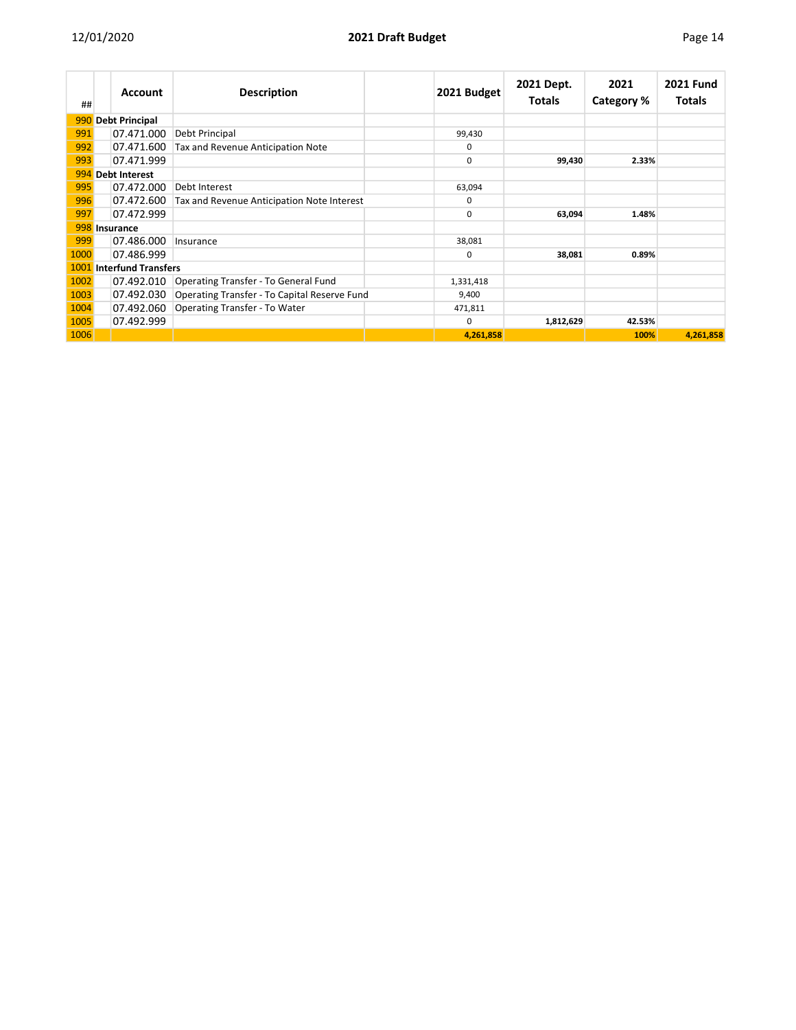| ##   |                                 | <b>Account</b>        | <b>Description</b>                           | 2021 Budget | 2021 Dept.<br><b>Totals</b> | 2021<br>Category % | <b>2021 Fund</b><br><b>Totals</b> |
|------|---------------------------------|-----------------------|----------------------------------------------|-------------|-----------------------------|--------------------|-----------------------------------|
| 990  |                                 | <b>Debt Principal</b> |                                              |             |                             |                    |                                   |
| 991  |                                 | 07.471.000            | Debt Principal                               | 99,430      |                             |                    |                                   |
| 992  |                                 | 07.471.600            | Tax and Revenue Anticipation Note            | $\Omega$    |                             |                    |                                   |
| 993  |                                 | 07.471.999            |                                              | 0           | 99,430                      | 2.33%              |                                   |
|      |                                 | 994 Debt Interest     |                                              |             |                             |                    |                                   |
| 995  |                                 | 07.472.000            | Debt Interest                                | 63,094      |                             |                    |                                   |
| 996  |                                 | 07.472.600            | Tax and Revenue Anticipation Note Interest   | 0           |                             |                    |                                   |
| 997  |                                 | 07.472.999            |                                              | 0           | 63,094                      | 1.48%              |                                   |
|      |                                 | 998 Insurance         |                                              |             |                             |                    |                                   |
| 999  |                                 | 07.486.000            | Insurance                                    | 38,081      |                             |                    |                                   |
| 1000 |                                 | 07.486.999            |                                              | $\Omega$    | 38,081                      | 0.89%              |                                   |
|      | <b>1001</b> Interfund Transfers |                       |                                              |             |                             |                    |                                   |
| 1002 |                                 | 07.492.010            | Operating Transfer - To General Fund         | 1,331,418   |                             |                    |                                   |
| 1003 |                                 | 07.492.030            | Operating Transfer - To Capital Reserve Fund | 9,400       |                             |                    |                                   |
| 1004 |                                 | 07.492.060            | Operating Transfer - To Water                | 471,811     |                             |                    |                                   |
| 1005 |                                 | 07.492.999            |                                              | 0           | 1,812,629                   | 42.53%             |                                   |
| 1006 |                                 |                       |                                              | 4,261,858   |                             | 100%               | 4,261,858                         |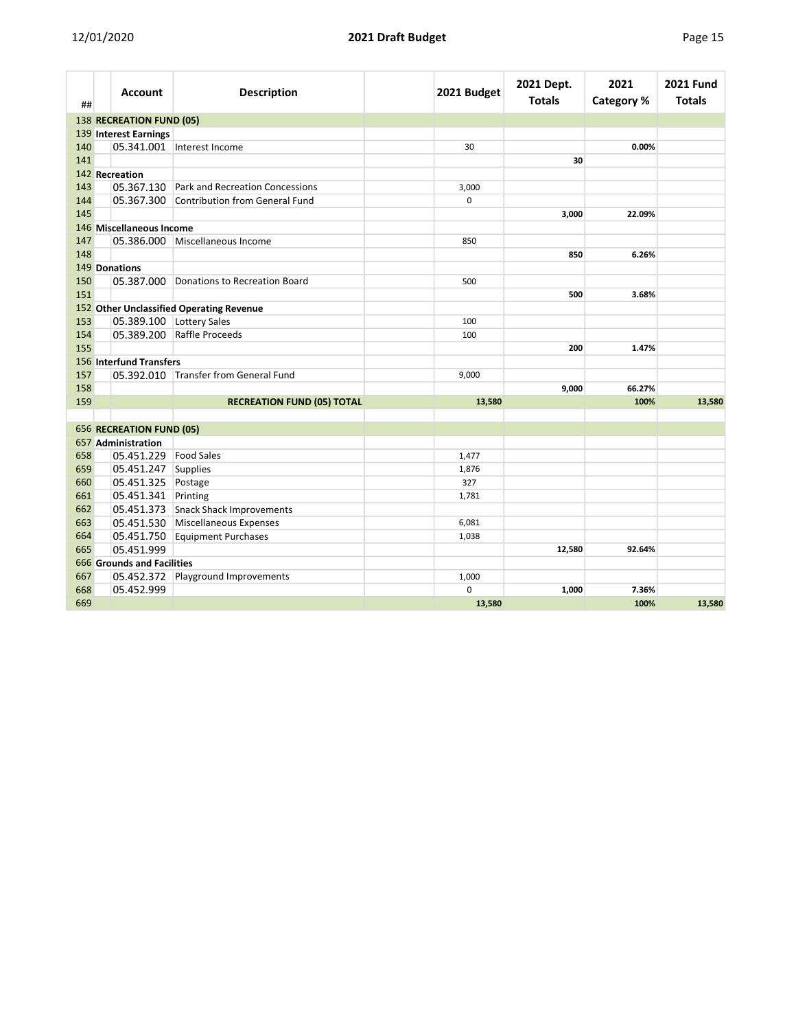| г. |  |
|----|--|
|    |  |

| ##  | Account                    | <b>Description</b>                         | 2021 Budget | 2021 Dept.<br><b>Totals</b> | 2021<br><b>Category %</b> | <b>2021 Fund</b><br><b>Totals</b> |
|-----|----------------------------|--------------------------------------------|-------------|-----------------------------|---------------------------|-----------------------------------|
|     | 138 RECREATION FUND (05)   |                                            |             |                             |                           |                                   |
|     | 139 Interest Earnings      |                                            |             |                             |                           |                                   |
| 140 |                            | 05.341.001 Interest Income                 | 30          |                             | 0.00%                     |                                   |
| 141 |                            |                                            |             | 30                          |                           |                                   |
|     | 142 Recreation             |                                            |             |                             |                           |                                   |
| 143 |                            | 05.367.130 Park and Recreation Concessions | 3,000       |                             |                           |                                   |
| 144 |                            | 05.367.300 Contribution from General Fund  | $\Omega$    |                             |                           |                                   |
| 145 |                            |                                            |             | 3,000                       | 22.09%                    |                                   |
|     | 146 Miscellaneous Income   |                                            |             |                             |                           |                                   |
| 147 |                            | 05.386.000 Miscellaneous Income            | 850         |                             |                           |                                   |
| 148 |                            |                                            |             | 850                         | 6.26%                     |                                   |
|     | 149 Donations              |                                            |             |                             |                           |                                   |
| 150 |                            | 05.387.000 Donations to Recreation Board   | 500         |                             |                           |                                   |
| 151 |                            |                                            |             | 500                         | 3.68%                     |                                   |
|     |                            | 152 Other Unclassified Operating Revenue   |             |                             |                           |                                   |
| 153 |                            | 05.389.100 Lottery Sales                   | 100         |                             |                           |                                   |
| 154 |                            | 05.389.200 Raffle Proceeds                 | 100         |                             |                           |                                   |
| 155 |                            |                                            |             | 200                         | 1.47%                     |                                   |
|     | 156 Interfund Transfers    |                                            |             |                             |                           |                                   |
| 157 |                            | 05.392.010 Transfer from General Fund      | 9,000       |                             |                           |                                   |
| 158 |                            |                                            |             | 9,000                       | 66.27%                    |                                   |
| 159 |                            | <b>RECREATION FUND (05) TOTAL</b>          | 13,580      |                             | 100%                      | 13,580                            |
|     | 656 RECREATION FUND (05)   |                                            |             |                             |                           |                                   |
|     | 657 Administration         |                                            |             |                             |                           |                                   |
| 658 | 05.451.229                 | <b>Food Sales</b>                          | 1,477       |                             |                           |                                   |
| 659 | 05.451.247 Supplies        |                                            | 1,876       |                             |                           |                                   |
| 660 | 05.451.325 Postage         |                                            | 327         |                             |                           |                                   |
| 661 | 05.451.341 Printing        |                                            | 1,781       |                             |                           |                                   |
| 662 |                            | 05.451.373 Snack Shack Improvements        |             |                             |                           |                                   |
| 663 |                            | 05.451.530 Miscellaneous Expenses          | 6,081       |                             |                           |                                   |
| 664 |                            | 05.451.750 Equipment Purchases             | 1,038       |                             |                           |                                   |
| 665 | 05.451.999                 |                                            |             | 12,580                      | 92.64%                    |                                   |
|     | 666 Grounds and Facilities |                                            |             |                             |                           |                                   |
| 667 |                            | 05.452.372 Playground Improvements         | 1,000       |                             |                           |                                   |
| 668 | 05.452.999                 |                                            | 0           | 1,000                       | 7.36%                     |                                   |
| 669 |                            |                                            | 13,580      |                             | 100%                      | 13,580                            |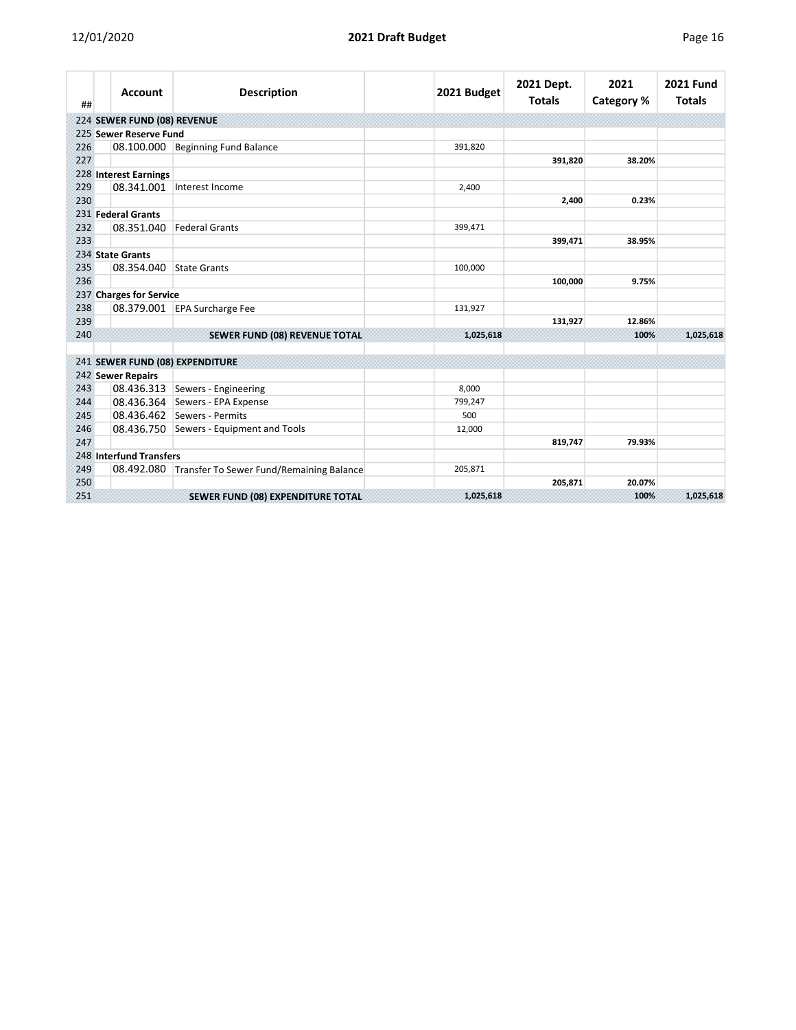| ı. |
|----|
|----|

| ##  | <b>Account</b>                  | <b>Description</b>                                  | 2021 Budget | 2021 Dept.<br><b>Totals</b> | 2021<br>Category % | <b>2021 Fund</b><br><b>Totals</b> |
|-----|---------------------------------|-----------------------------------------------------|-------------|-----------------------------|--------------------|-----------------------------------|
|     | 224 SEWER FUND (08) REVENUE     |                                                     |             |                             |                    |                                   |
|     | 225 Sewer Reserve Fund          |                                                     |             |                             |                    |                                   |
| 226 |                                 | 08.100.000 Beginning Fund Balance                   | 391,820     |                             |                    |                                   |
| 227 |                                 |                                                     |             | 391,820                     | 38.20%             |                                   |
|     | 228 Interest Earnings           |                                                     |             |                             |                    |                                   |
| 229 | 08.341.001                      | Interest Income                                     | 2,400       |                             |                    |                                   |
| 230 |                                 |                                                     |             | 2,400                       | 0.23%              |                                   |
|     | 231 Federal Grants              |                                                     |             |                             |                    |                                   |
| 232 | 08.351.040                      | Federal Grants                                      | 399,471     |                             |                    |                                   |
| 233 |                                 |                                                     |             | 399,471                     | 38.95%             |                                   |
|     | 234 State Grants                |                                                     |             |                             |                    |                                   |
| 235 | 08.354.040                      | State Grants                                        | 100,000     |                             |                    |                                   |
| 236 |                                 |                                                     |             | 100,000                     | 9.75%              |                                   |
|     | 237 Charges for Service         |                                                     |             |                             |                    |                                   |
| 238 |                                 | 08.379.001 EPA Surcharge Fee                        | 131,927     |                             |                    |                                   |
| 239 |                                 |                                                     |             | 131,927                     | 12.86%             |                                   |
| 240 |                                 | <b>SEWER FUND (08) REVENUE TOTAL</b>                | 1,025,618   |                             | 100%               | 1,025,618                         |
|     | 241 SEWER FUND (08) EXPENDITURE |                                                     |             |                             |                    |                                   |
|     | 242 Sewer Repairs               |                                                     |             |                             |                    |                                   |
| 243 |                                 | 08.436.313 Sewers - Engineering                     | 8,000       |                             |                    |                                   |
| 244 |                                 | 08.436.364 Sewers - EPA Expense                     | 799,247     |                             |                    |                                   |
| 245 |                                 | 08.436.462 Sewers - Permits                         | 500         |                             |                    |                                   |
| 246 |                                 | 08.436.750 Sewers - Equipment and Tools             | 12,000      |                             |                    |                                   |
| 247 |                                 |                                                     |             | 819,747                     | 79.93%             |                                   |
|     | 248 Interfund Transfers         |                                                     |             |                             |                    |                                   |
| 249 |                                 | 08.492.080 Transfer To Sewer Fund/Remaining Balance | 205,871     |                             |                    |                                   |
| 250 |                                 |                                                     |             | 205,871                     | 20.07%             |                                   |
| 251 |                                 | <b>SEWER FUND (08) EXPENDITURE TOTAL</b>            | 1,025,618   |                             | 100%               | 1,025,618                         |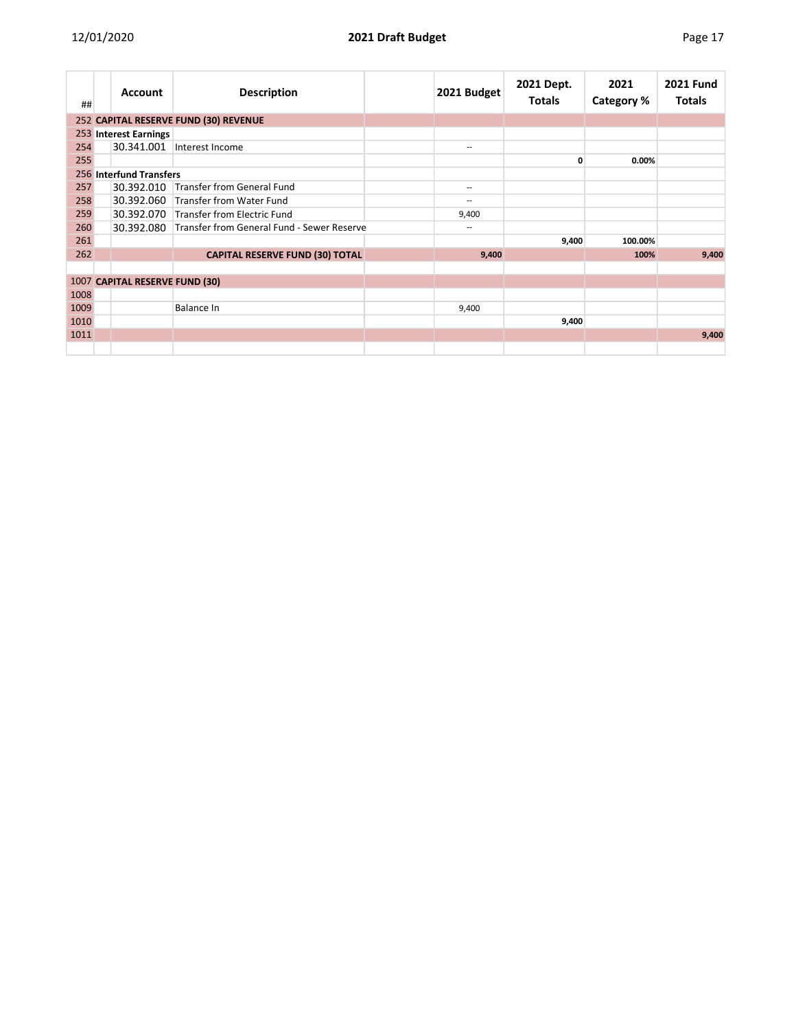| ##   | <b>Account</b>                 | <b>Description</b>                         | 2021 Budget              | 2021 Dept.<br><b>Totals</b> | 2021<br>Category % | <b>2021 Fund</b><br><b>Totals</b> |
|------|--------------------------------|--------------------------------------------|--------------------------|-----------------------------|--------------------|-----------------------------------|
|      |                                | 252 CAPITAL RESERVE FUND (30) REVENUE      |                          |                             |                    |                                   |
|      | 253 Interest Earnings          |                                            |                          |                             |                    |                                   |
| 254  |                                | 30.341.001 Interest Income                 | $\overline{\phantom{a}}$ |                             |                    |                                   |
| 255  |                                |                                            |                          | 0                           | 0.00%              |                                   |
|      | 256 Interfund Transfers        |                                            |                          |                             |                    |                                   |
| 257  | 30.392.010                     | Transfer from General Fund                 | $\hspace{0.05cm}$        |                             |                    |                                   |
| 258  |                                | 30.392.060 Transfer from Water Fund        | --                       |                             |                    |                                   |
| 259  |                                | 30.392.070 Transfer from Electric Fund     | 9,400                    |                             |                    |                                   |
| 260  | 30.392.080                     | Transfer from General Fund - Sewer Reserve | $\overline{\phantom{a}}$ |                             |                    |                                   |
| 261  |                                |                                            |                          | 9,400                       | 100.00%            |                                   |
| 262  |                                | <b>CAPITAL RESERVE FUND (30) TOTAL</b>     | 9,400                    |                             | 100%               | 9,400                             |
|      |                                |                                            |                          |                             |                    |                                   |
|      | 1007 CAPITAL RESERVE FUND (30) |                                            |                          |                             |                    |                                   |
| 1008 |                                |                                            |                          |                             |                    |                                   |
| 1009 |                                | Balance In                                 | 9,400                    |                             |                    |                                   |
| 1010 |                                |                                            |                          | 9,400                       |                    |                                   |
| 1011 |                                |                                            |                          |                             |                    | 9,400                             |
|      |                                |                                            |                          |                             |                    |                                   |